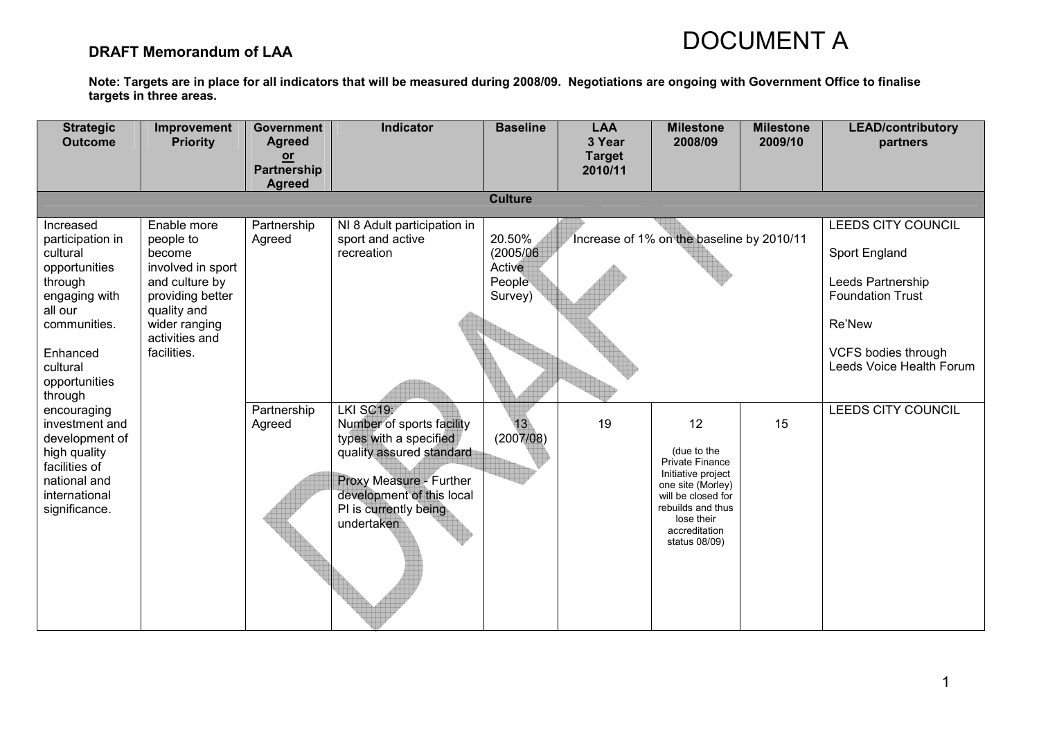### DRAFT Memorandum of LAA

| <b>Strategic</b><br><b>Outcome</b>                                                                                                                                                                                                                                                                          | Improvement<br><b>Priority</b>                                                                                                                                 | <b>Government</b><br><b>Agreed</b><br>$or$<br>Partnership | <b>Indicator</b>                                                                                                                                                                                                                                             | <b>Baseline</b>                                                                    | <b>LAA</b><br>3 Year<br><b>Target</b><br>2010/11 | <b>Milestone</b><br>2008/09                                                                                                                                                                                             | <b>Milestone</b><br>2009/10 | <b>LEAD/contributory</b><br>partners                                                                                                                                                        |
|-------------------------------------------------------------------------------------------------------------------------------------------------------------------------------------------------------------------------------------------------------------------------------------------------------------|----------------------------------------------------------------------------------------------------------------------------------------------------------------|-----------------------------------------------------------|--------------------------------------------------------------------------------------------------------------------------------------------------------------------------------------------------------------------------------------------------------------|------------------------------------------------------------------------------------|--------------------------------------------------|-------------------------------------------------------------------------------------------------------------------------------------------------------------------------------------------------------------------------|-----------------------------|---------------------------------------------------------------------------------------------------------------------------------------------------------------------------------------------|
|                                                                                                                                                                                                                                                                                                             |                                                                                                                                                                | <b>Agreed</b>                                             |                                                                                                                                                                                                                                                              | <b>Culture</b>                                                                     |                                                  |                                                                                                                                                                                                                         |                             |                                                                                                                                                                                             |
|                                                                                                                                                                                                                                                                                                             |                                                                                                                                                                |                                                           |                                                                                                                                                                                                                                                              |                                                                                    |                                                  |                                                                                                                                                                                                                         |                             |                                                                                                                                                                                             |
| Increased<br>participation in<br>cultural<br>opportunities<br>through<br>engaging with<br>all our<br>communities.<br>Enhanced<br>cultural<br>opportunities<br>through<br>encouraging<br>investment and<br>development of<br>high quality<br>facilities of<br>national and<br>international<br>significance. | Enable more<br>people to<br>become<br>involved in sport<br>and culture by<br>providing better<br>quality and<br>wider ranging<br>activities and<br>facilities. | Partnership<br>Agreed<br>Partnership<br>Agreed            | NI 8 Adult participation in<br>sport and active<br>recreation<br>LKI SC19:<br>Number of sports facility<br>types with a specified<br>quality assured standard<br>Proxy Measure - Further<br>development of this local<br>PI is currently being<br>undertaken | 20.50%<br>(2005/06)<br>Active<br>People<br>Survey)<br>13 <sup>°</sup><br>(2007/08) | 19                                               | Increase of 1% on the baseline by 2010/11<br>12<br>(due to the<br>Private Finance<br>Initiative project<br>one site (Morley)<br>will be closed for<br>rebuilds and thus<br>lose their<br>accreditation<br>status 08/09) | 15                          | <b>LEEDS CITY COUNCIL</b><br>Sport England<br>Leeds Partnership<br><b>Foundation Trust</b><br>Re'New<br><b>VCFS bodies through</b><br>Leeds Voice Health Forum<br><b>LEEDS CITY COUNCIL</b> |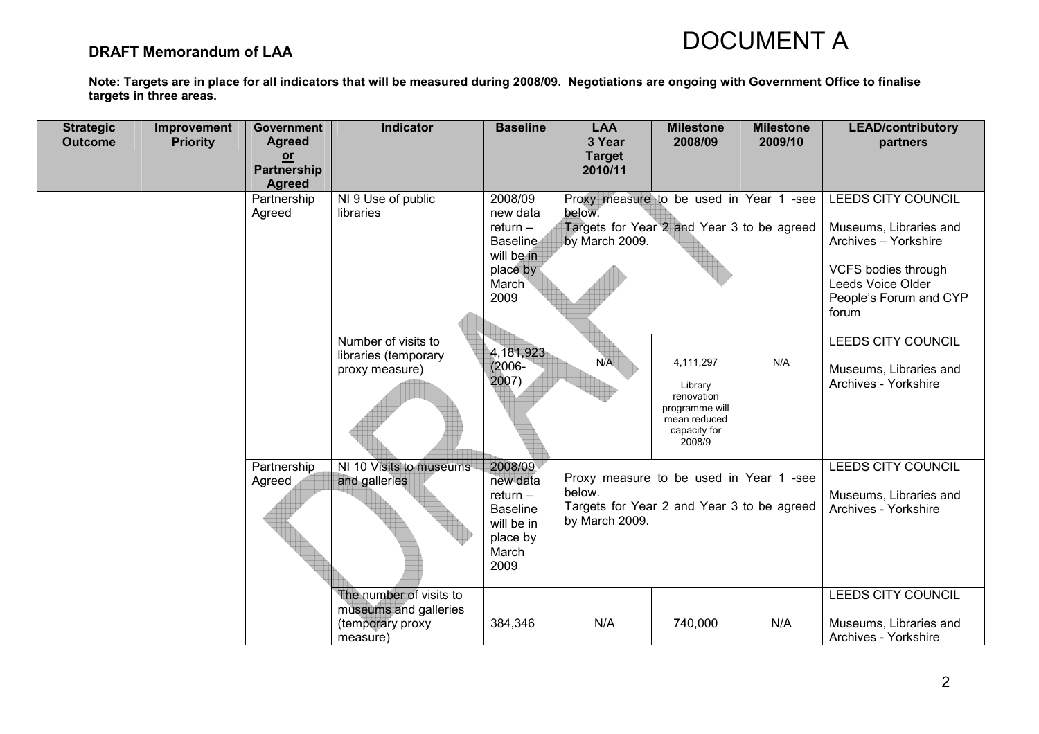### DRAFT Memorandum of LAA

| <b>Strategic</b> | Improvement     | <b>Government</b>                                            | <b>Indicator</b>                                                                 | <b>Baseline</b>                                                                                 | <b>LAA</b>                                                                                                        | <b>Milestone</b>                                                                               | <b>Milestone</b> | <b>LEAD/contributory</b>                                                                                                                          |
|------------------|-----------------|--------------------------------------------------------------|----------------------------------------------------------------------------------|-------------------------------------------------------------------------------------------------|-------------------------------------------------------------------------------------------------------------------|------------------------------------------------------------------------------------------------|------------------|---------------------------------------------------------------------------------------------------------------------------------------------------|
| <b>Outcome</b>   | <b>Priority</b> | <b>Agreed</b><br>$or$<br><b>Partnership</b><br><b>Agreed</b> |                                                                                  |                                                                                                 | 3 Year<br><b>Target</b><br>2010/11                                                                                | 2008/09                                                                                        | 2009/10          | partners                                                                                                                                          |
|                  |                 | Partnership<br>Agreed                                        | NI 9 Use of public<br>libraries                                                  | 2008/09<br>new data<br>$return -$<br><b>Baseline</b><br>will be in<br>place by<br>March<br>2009 | Proxy measure to be used in Year 1 -see<br>below.<br>Targets for Year 2 and Year 3 to be agreed<br>by March 2009. |                                                                                                |                  | <b>LEEDS CITY COUNCIL</b><br>Museums, Libraries and<br>Archives - Yorkshire<br>VCFS bodies through<br>Leeds Voice Older<br>People's Forum and CYP |
|                  |                 |                                                              | Number of visits to<br>libraries (temporary<br>proxy measure)                    | 4,181,923<br>$(2006 -$<br>2007)                                                                 | N/A                                                                                                               | 4,111,297<br>Library<br>renovation<br>programme will<br>mean reduced<br>capacity for<br>2008/9 | N/A              | forum<br><b>LEEDS CITY COUNCIL</b><br>Museums, Libraries and<br>Archives - Yorkshire                                                              |
|                  |                 | Partnership<br>Agreed                                        | NI 10 Visits to museums<br>and galleries                                         | 2008/09<br>new data<br>$return -$<br><b>Baseline</b><br>will be in<br>place by<br>March<br>2009 | Proxy measure to be used in Year 1 -see<br>below.<br>Targets for Year 2 and Year 3 to be agreed<br>by March 2009. |                                                                                                |                  | <b>LEEDS CITY COUNCIL</b><br>Museums, Libraries and<br>Archives - Yorkshire                                                                       |
|                  |                 |                                                              | The number of visits to<br>museums and galleries<br>(temporary proxy<br>measure) | 384,346                                                                                         | N/A                                                                                                               | 740,000                                                                                        | N/A              | <b>LEEDS CITY COUNCIL</b><br>Museums, Libraries and<br>Archives - Yorkshire                                                                       |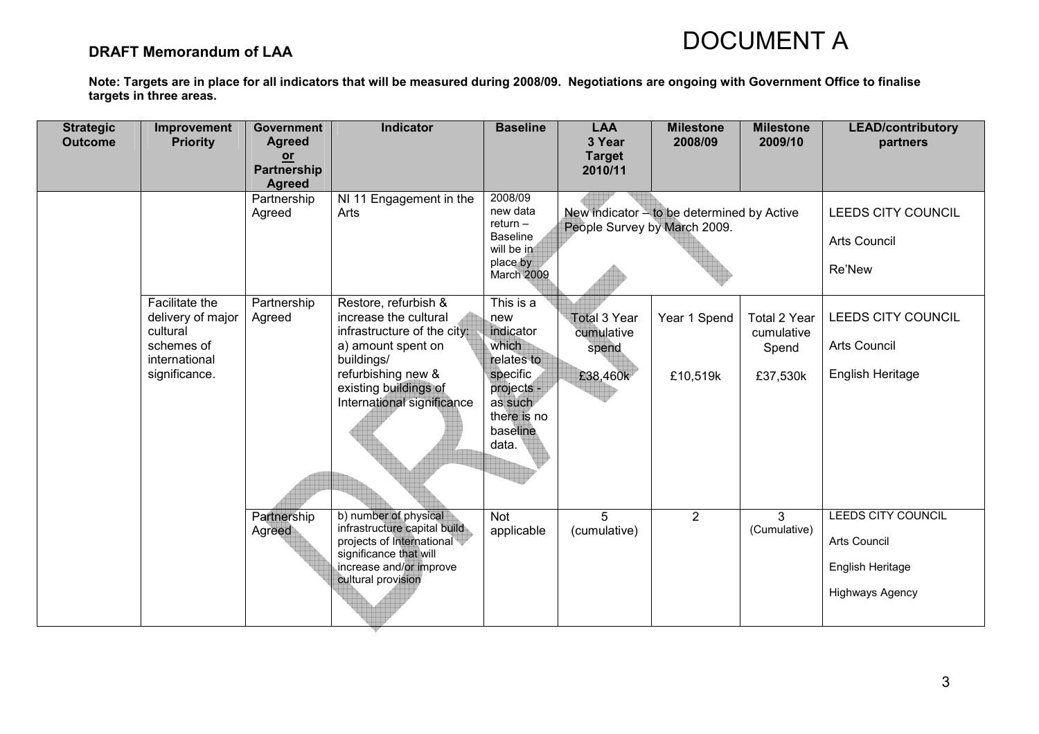### DRAFT Memorandum of LAA

| <b>Strategic</b><br><b>Outcome</b> | Improvement<br><b>Priority</b>                                                                  | <b>Government</b><br><b>Agreed</b><br>$or$ | Indicator                                                                                                                                                                                     | <b>Baseline</b>                                                                                                               | <b>LAA</b><br>3 Year<br><b>Target</b>                  | <b>Milestone</b><br>2008/09                | <b>Milestone</b><br>2009/10                     | <b>LEAD/contributory</b><br>partners                                             |
|------------------------------------|-------------------------------------------------------------------------------------------------|--------------------------------------------|-----------------------------------------------------------------------------------------------------------------------------------------------------------------------------------------------|-------------------------------------------------------------------------------------------------------------------------------|--------------------------------------------------------|--------------------------------------------|-------------------------------------------------|----------------------------------------------------------------------------------|
|                                    |                                                                                                 | <b>Partnership</b><br><b>Agreed</b>        |                                                                                                                                                                                               |                                                                                                                               | 2010/11                                                |                                            |                                                 |                                                                                  |
|                                    |                                                                                                 | Partnership<br>Agreed                      | NI 11 Engagement in the<br>Arts                                                                                                                                                               | 2008/09<br>new data<br>$return -$<br><b>Baseline</b><br>will be in<br>place by<br>March 2009                                  | People Survey by March 2009.                           | New indicator - to be determined by Active |                                                 | LEEDS CITY COUNCIL<br><b>Arts Council</b><br>Re'New                              |
|                                    | Facilitate the<br>delivery of major<br>cultural<br>schemes of<br>international<br>significance. | Partnership<br>Agreed                      | Restore, refurbish &<br>increase the cultural<br>infrastructure of the city:<br>a) amount spent on<br>buildings/<br>refurbishing new &<br>existing buildings of<br>International significance | This is a<br>new<br>indicator<br>which<br>relates to<br>specific<br>projects -<br>as such<br>there is no<br>baseline<br>data. | <b>Total 3 Year</b><br>cumulative<br>spend<br>£38,460k | Year 1 Spend<br>£10,519k                   | Total 2 Year<br>cumulative<br>Spend<br>£37,530k | LEEDS CITY COUNCIL<br><b>Arts Council</b><br>English Heritage                    |
|                                    |                                                                                                 | Partnership<br>Agreed                      | b) number of physical<br>infrastructure capital build<br>projects of International<br>significance that will<br>increase and/or improve<br>cultural provision                                 | Not<br>applicable                                                                                                             | 5<br>(cumulative)                                      | $\overline{2}$                             | $\mathbf{3}$<br>(Cumulative)                    | LEEDS CITY COUNCIL<br>Arts Council<br>English Heritage<br><b>Highways Agency</b> |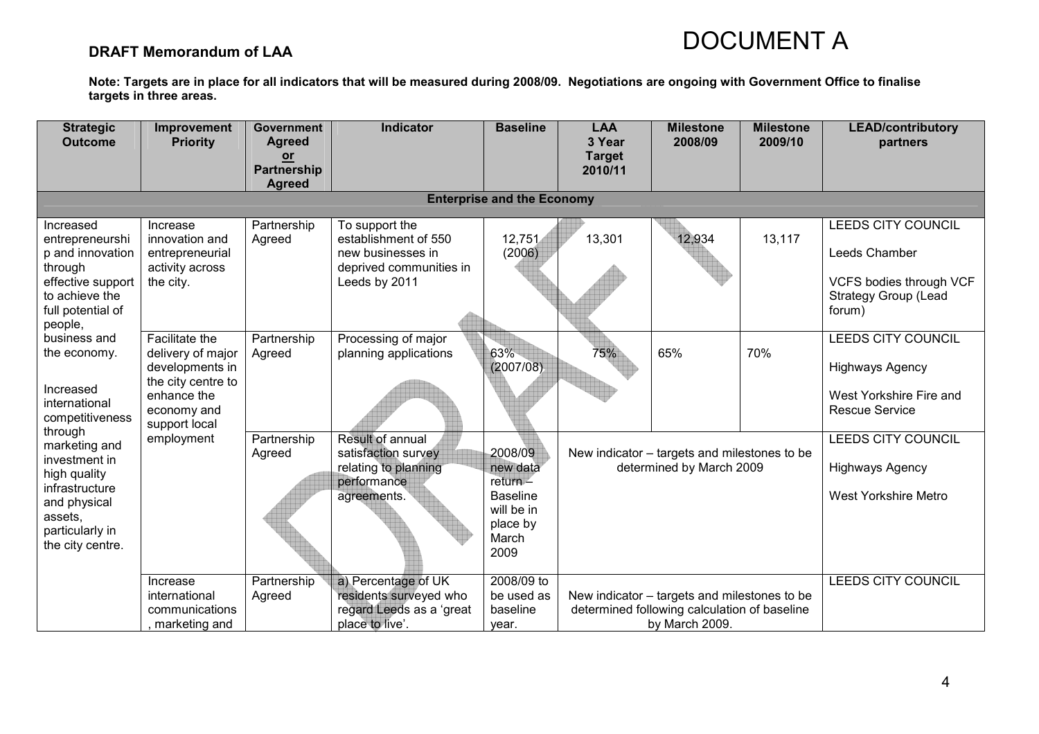### DRAFT Memorandum of LAA

| <b>Strategic</b>                    | Improvement                          | <b>Government</b>     | <b>Indicator</b>                                   | <b>Baseline</b>                   | <b>LAA</b>              | <b>Milestone</b>                                                                             | <b>Milestone</b> | <b>LEAD/contributory</b>                               |
|-------------------------------------|--------------------------------------|-----------------------|----------------------------------------------------|-----------------------------------|-------------------------|----------------------------------------------------------------------------------------------|------------------|--------------------------------------------------------|
| <b>Outcome</b>                      | <b>Priority</b>                      | <b>Agreed</b><br>or   |                                                    |                                   | 3 Year<br><b>Target</b> | 2008/09                                                                                      | 2009/10          | partners                                               |
|                                     |                                      | <b>Partnership</b>    |                                                    |                                   | 2010/11                 |                                                                                              |                  |                                                        |
|                                     |                                      | <b>Agreed</b>         |                                                    | <b>Enterprise and the Economy</b> |                         |                                                                                              |                  |                                                        |
|                                     |                                      |                       |                                                    |                                   |                         |                                                                                              |                  |                                                        |
| Increased<br>entrepreneurshi        | Increase<br>innovation and           | Partnership<br>Agreed | To support the<br>establishment of 550             | 12,751                            | 13,301                  | 12,934                                                                                       | 13,117           | LEEDS CITY COUNCIL                                     |
| p and innovation                    | entrepreneurial                      |                       | new businesses in                                  | (2006)                            |                         |                                                                                              |                  | Leeds Chamber                                          |
| through                             | activity across                      |                       | deprived communities in                            |                                   |                         |                                                                                              |                  |                                                        |
| effective support<br>to achieve the | the city.                            |                       | Leeds by 2011                                      |                                   |                         |                                                                                              |                  | VCFS bodies through VCF<br><b>Strategy Group (Lead</b> |
| full potential of                   |                                      |                       |                                                    |                                   |                         |                                                                                              |                  | forum)                                                 |
| people,                             |                                      |                       |                                                    |                                   |                         |                                                                                              |                  |                                                        |
| business and                        | Facilitate the                       | Partnership           | Processing of major                                |                                   |                         |                                                                                              |                  | <b>LEEDS CITY COUNCIL</b>                              |
| the economy.                        | delivery of major<br>developments in | Agreed                | planning applications                              | 63%<br>(2007/08)                  | 75%                     | 65%                                                                                          | 70%              | <b>Highways Agency</b>                                 |
|                                     | the city centre to                   |                       |                                                    |                                   |                         |                                                                                              |                  |                                                        |
| Increased<br>international          | enhance the                          |                       |                                                    |                                   |                         |                                                                                              |                  | West Yorkshire Fire and                                |
| competitiveness                     | economy and<br>support local         |                       |                                                    |                                   |                         |                                                                                              |                  | <b>Rescue Service</b>                                  |
| through<br>marketing and            | employment                           | Partnership           | Result of annual                                   |                                   |                         |                                                                                              |                  | <b>LEEDS CITY COUNCIL</b>                              |
| investment in                       |                                      | Agreed                | satisfaction survey                                | 2008/09                           |                         | New indicator - targets and milestones to be                                                 |                  |                                                        |
| high quality                        |                                      |                       | relating to planning<br>performance                | new data<br>$return -$            |                         | determined by March 2009                                                                     |                  | <b>Highways Agency</b>                                 |
| infrastructure<br>and physical      |                                      |                       | agreements.                                        | <b>Baseline</b>                   |                         |                                                                                              |                  | <b>West Yorkshire Metro</b>                            |
| assets,                             |                                      |                       |                                                    | will be in                        |                         |                                                                                              |                  |                                                        |
| particularly in                     |                                      |                       |                                                    | place by<br>March                 |                         |                                                                                              |                  |                                                        |
| the city centre.                    |                                      |                       |                                                    | 2009                              |                         |                                                                                              |                  |                                                        |
|                                     |                                      |                       |                                                    |                                   |                         |                                                                                              |                  |                                                        |
|                                     | Increase                             | Partnership           | a) Percentage of UK                                | 2008/09 to                        |                         |                                                                                              |                  | LEEDS CITY COUNCIL                                     |
|                                     | international<br>communications      | Agreed                | residents surveyed who<br>regard Leeds as a 'great | be used as<br>baseline            |                         | New indicator – targets and milestones to be<br>determined following calculation of baseline |                  |                                                        |
|                                     | marketing and                        |                       | place to live'.                                    | year.                             |                         | by March 2009.                                                                               |                  |                                                        |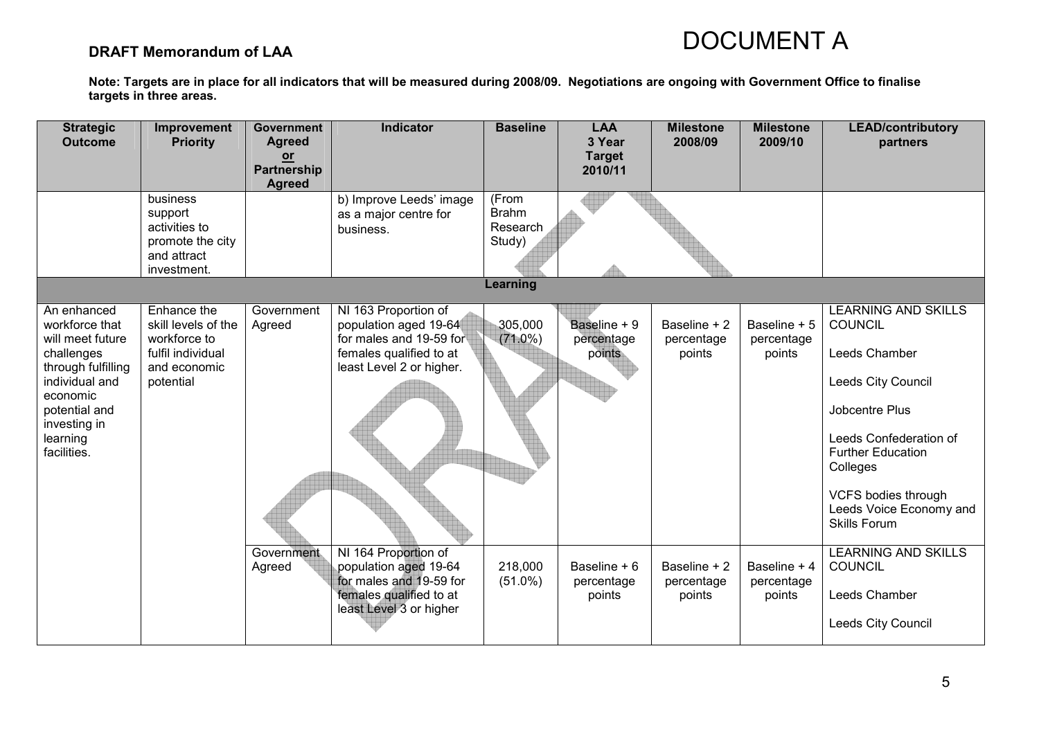### DRAFT Memorandum of LAA

| <b>Strategic</b><br><b>Outcome</b>                                                                                                                                              | Improvement<br><b>Priority</b>                                                                       | <b>Government</b><br><b>Agreed</b>   | <b>Indicator</b>                                                                                                                | <b>Baseline</b>                             | <b>LAA</b><br>3 Year                 | <b>Milestone</b><br>2008/09          | <b>Milestone</b><br>2009/10          | <b>LEAD/contributory</b><br>partners                                                                                                                                                                                                                    |
|---------------------------------------------------------------------------------------------------------------------------------------------------------------------------------|------------------------------------------------------------------------------------------------------|--------------------------------------|---------------------------------------------------------------------------------------------------------------------------------|---------------------------------------------|--------------------------------------|--------------------------------------|--------------------------------------|---------------------------------------------------------------------------------------------------------------------------------------------------------------------------------------------------------------------------------------------------------|
|                                                                                                                                                                                 |                                                                                                      | $or$<br>Partnership<br><b>Agreed</b> |                                                                                                                                 |                                             | <b>Target</b><br>2010/11             |                                      |                                      |                                                                                                                                                                                                                                                         |
|                                                                                                                                                                                 | business<br>support<br>activities to<br>promote the city<br>and attract<br>investment.               |                                      | b) Improve Leeds' image<br>as a major centre for<br>business.                                                                   | (From<br><b>Brahm</b><br>Research<br>Study) |                                      |                                      |                                      |                                                                                                                                                                                                                                                         |
|                                                                                                                                                                                 |                                                                                                      |                                      |                                                                                                                                 | Learning                                    |                                      |                                      |                                      |                                                                                                                                                                                                                                                         |
| An enhanced<br>workforce that<br>will meet future<br>challenges<br>through fulfilling<br>individual and<br>economic<br>potential and<br>investing in<br>learning<br>facilities. | Enhance the<br>skill levels of the<br>workforce to<br>fulfil individual<br>and economic<br>potential | Government<br>Agreed                 | NI 163 Proportion of<br>population aged 19-64<br>for males and 19-59 for<br>females qualified to at<br>least Level 2 or higher. | 305,000<br>$(71.0\%)$                       | Baseline + 9<br>percentage<br>points | Baseline + 2<br>percentage<br>points | Baseline + 5<br>percentage<br>points | <b>LEARNING AND SKILLS</b><br><b>COUNCIL</b><br>Leeds Chamber<br>Leeds City Council<br>Jobcentre Plus<br>Leeds Confederation of<br><b>Further Education</b><br>Colleges<br><b>VCFS bodies through</b><br>Leeds Voice Economy and<br><b>Skills Forum</b> |
|                                                                                                                                                                                 |                                                                                                      | Government<br>Agreed                 | NI 164 Proportion of<br>population aged 19-64<br>for males and 19-59 for<br>females qualified to at<br>least Level 3 or higher  | 218,000<br>$(51.0\%)$                       | Baseline + 6<br>percentage<br>points | Baseline + 2<br>percentage<br>points | Baseline + 4<br>percentage<br>points | <b>LEARNING AND SKILLS</b><br>COUNCIL<br>Leeds Chamber<br>Leeds City Council                                                                                                                                                                            |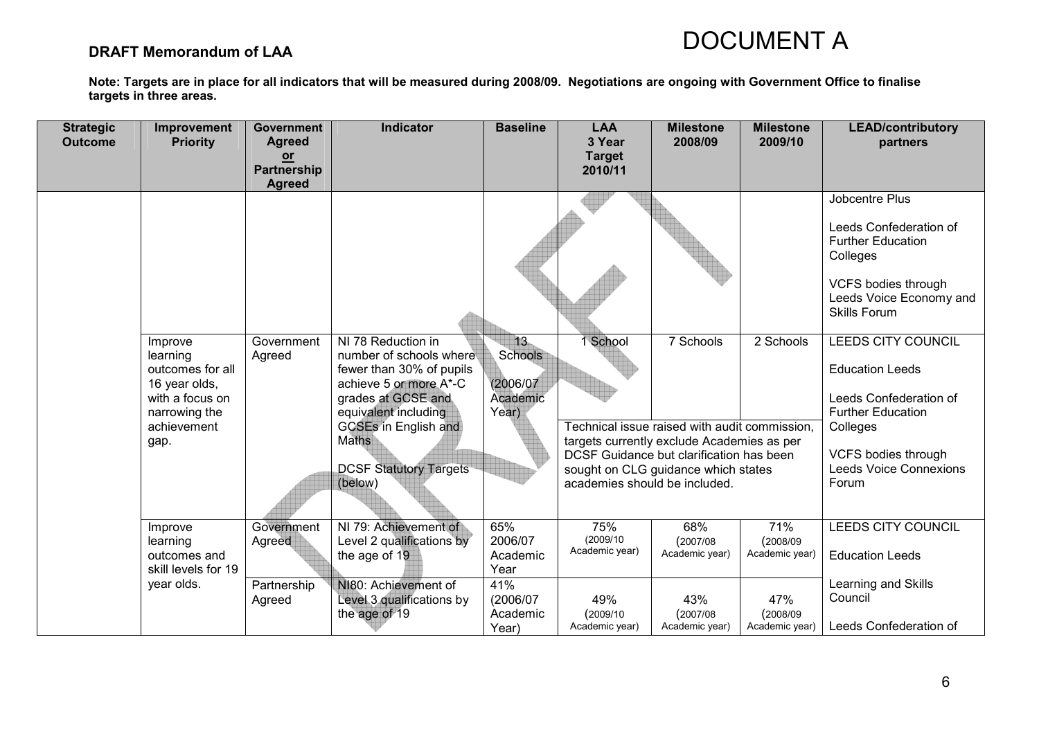### DRAFT Memorandum of LAA

| <b>Strategic</b><br><b>Outcome</b> | <b>Improvement</b><br><b>Priority</b>                                                                               | <b>Government</b><br><b>Agreed</b><br>$or$<br><b>Partnership</b><br><b>Agreed</b> | <b>Indicator</b>                                                                                                                                                                                                                             | <b>Baseline</b>                                 | <b>LAA</b><br>3 Year<br><b>Target</b><br>2010/11 | <b>Milestone</b><br>2008/09                                                                                                                                                                 | <b>Milestone</b><br>2009/10        | <b>LEAD/contributory</b><br>partners                                                                                                                                                          |
|------------------------------------|---------------------------------------------------------------------------------------------------------------------|-----------------------------------------------------------------------------------|----------------------------------------------------------------------------------------------------------------------------------------------------------------------------------------------------------------------------------------------|-------------------------------------------------|--------------------------------------------------|---------------------------------------------------------------------------------------------------------------------------------------------------------------------------------------------|------------------------------------|-----------------------------------------------------------------------------------------------------------------------------------------------------------------------------------------------|
|                                    |                                                                                                                     |                                                                                   |                                                                                                                                                                                                                                              |                                                 |                                                  |                                                                                                                                                                                             |                                    | Jobcentre Plus<br>Leeds Confederation of<br><b>Further Education</b><br>Colleges<br>VCFS bodies through<br>Leeds Voice Economy and<br><b>Skills Forum</b>                                     |
|                                    | Improve<br>learning<br>outcomes for all<br>16 year olds,<br>with a focus on<br>narrowing the<br>achievement<br>gap. | Government<br>Agreed                                                              | NI 78 Reduction in<br>number of schools where<br>fewer than 30% of pupils<br>achieve 5 or more A*-C<br>grades at GCSE and<br>equivalent including<br><b>GCSEs in English and</b><br><b>Maths</b><br><b>DCSF Statutory Targets</b><br>(below) | 13<br>Schools<br>(2006/07)<br>Academic<br>Year) | 1 School<br>academies should be included.        | 7 Schools<br>Technical issue raised with audit commission,<br>targets currently exclude Academies as per<br>DCSF Guidance but clarification has been<br>sought on CLG guidance which states | 2 Schools                          | <b>LEEDS CITY COUNCIL</b><br><b>Education Leeds</b><br>Leeds Confederation of<br><b>Further Education</b><br>Colleges<br><b>VCFS bodies through</b><br><b>Leeds Voice Connexions</b><br>Forum |
|                                    | Improve<br>learning<br>outcomes and<br>skill levels for 19                                                          | Government<br>Agreed                                                              | NI 79: Achievement of<br>Level 2 qualifications by<br>the age of 19                                                                                                                                                                          | 65%<br>2006/07<br>Academic<br>Year              | 75%<br>(2009/10)<br>Academic year)               | 68%<br>(2007/08)<br>Academic year)                                                                                                                                                          | 71%<br>(2008/09)<br>Academic year) | <b>LEEDS CITY COUNCIL</b><br><b>Education Leeds</b>                                                                                                                                           |
|                                    | year olds.                                                                                                          | Partnership<br>Agreed                                                             | NI80: Achievement of<br>Level 3 qualifications by<br>the age of 19                                                                                                                                                                           | 41%<br>(2006/07<br>Academic<br>Year)            | 49%<br>(2009/10)<br>Academic year)               | 43%<br>(2007/08)<br>Academic year)                                                                                                                                                          | 47%<br>(2008/09)<br>Academic year) | Learning and Skills<br>Council<br>Leeds Confederation of                                                                                                                                      |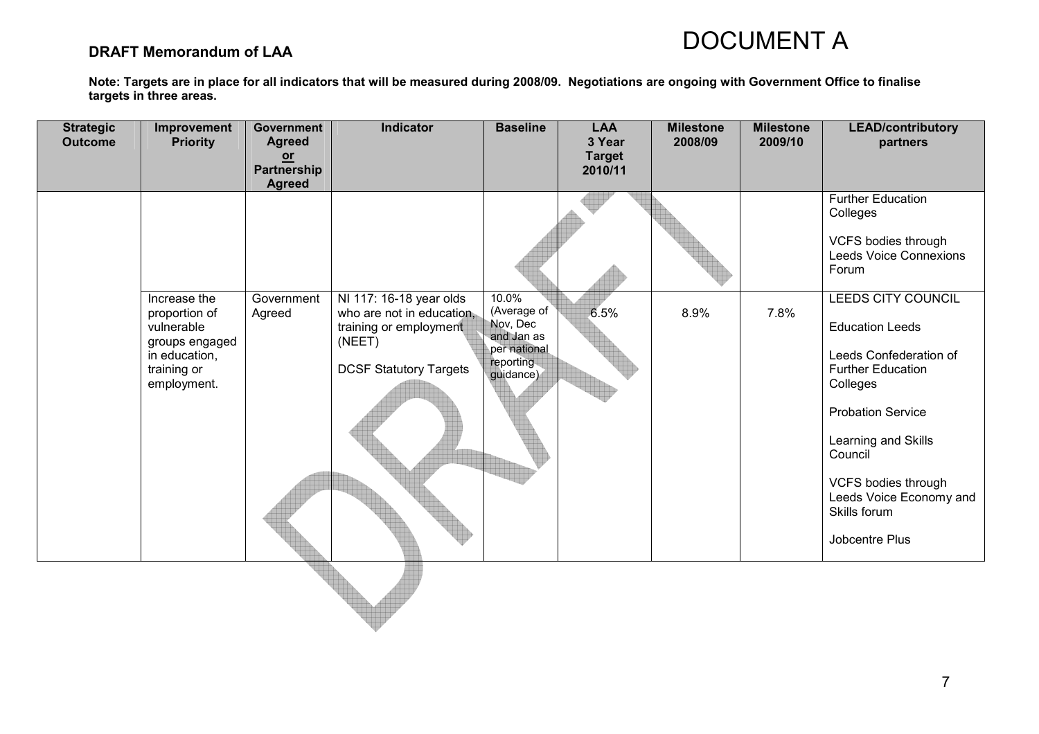### DRAFT Memorandum of LAA

| <b>Strategic</b><br><b>Outcome</b> | Improvement<br><b>Priority</b>                                                               | Government<br><b>Agreed</b><br>$or$<br>Partnership<br><b>Agreed</b> | Indicator                                                                                      | <b>Baseline</b>                                                  | <b>LAA</b><br>3 Year<br><b>Target</b><br>2010/11 | <b>Milestone</b><br>2008/09 | <b>Milestone</b><br>2009/10 | <b>LEAD/contributory</b><br>partners                                                                                                                                                                                                       |
|------------------------------------|----------------------------------------------------------------------------------------------|---------------------------------------------------------------------|------------------------------------------------------------------------------------------------|------------------------------------------------------------------|--------------------------------------------------|-----------------------------|-----------------------------|--------------------------------------------------------------------------------------------------------------------------------------------------------------------------------------------------------------------------------------------|
|                                    | Increase the                                                                                 | Government                                                          | NI 117: 16-18 year olds                                                                        | 10.0%<br>(Average of                                             |                                                  |                             | 7.8%                        | <b>Further Education</b><br>Colleges<br>VCFS bodies through<br><b>Leeds Voice Connexions</b><br>Forum<br>LEEDS CITY COUNCIL                                                                                                                |
|                                    | proportion of<br>vulnerable<br>groups engaged<br>in education,<br>training or<br>employment. | Agreed                                                              | who are not in education,<br>training or employment<br>(NEET)<br><b>DCSF Statutory Targets</b> | Nov, Dec<br>and Jan as<br>per national<br>reporting<br>guidance) | 6.5%                                             | 8.9%                        |                             | <b>Education Leeds</b><br>Leeds Confederation of<br><b>Further Education</b><br>Colleges<br><b>Probation Service</b><br>Learning and Skills<br>Council<br>VCFS bodies through<br>Leeds Voice Economy and<br>Skills forum<br>Jobcentre Plus |
|                                    |                                                                                              |                                                                     |                                                                                                |                                                                  |                                                  |                             |                             |                                                                                                                                                                                                                                            |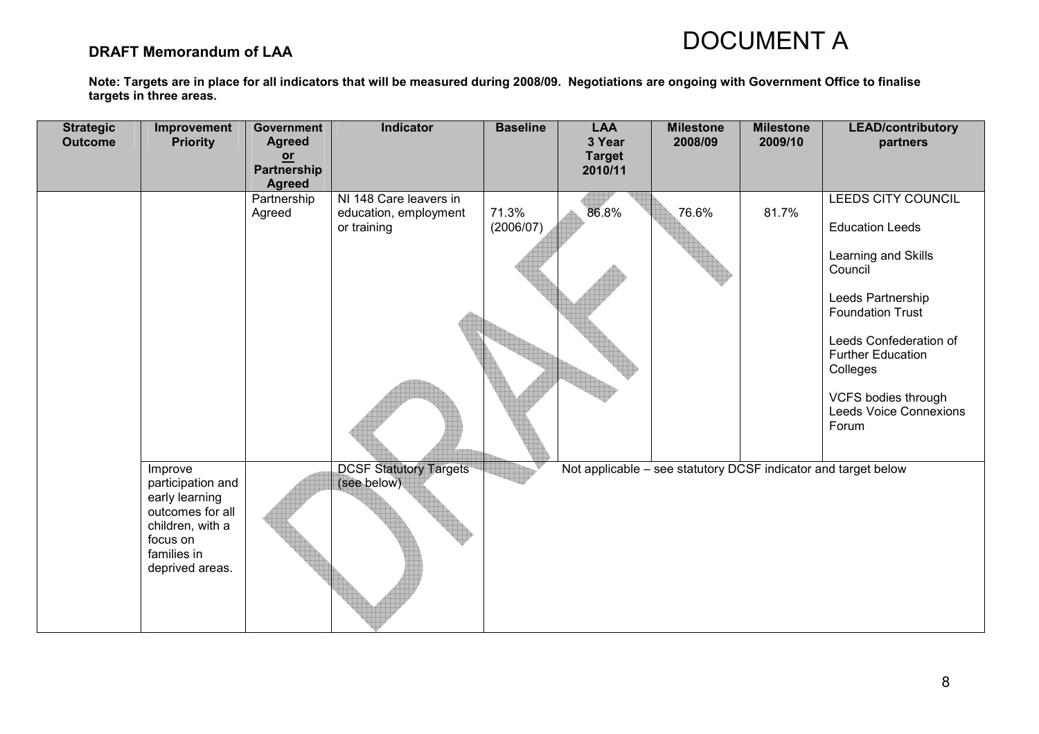### DRAFT Memorandum of LAA

| <b>Strategic</b><br><b>Outcome</b> | Improvement<br><b>Priority</b>                                                                                                       | Government<br><b>Agreed</b><br>$or$<br>Partnership<br><b>Agreed</b> | Indicator                                                      | <b>Baseline</b>    | <b>LAA</b><br>3 Year<br><b>Target</b><br>2010/11 | <b>Milestone</b><br>2008/09                                    | <b>Milestone</b><br>2009/10 | <b>LEAD/contributory</b><br>partners                                                                                                                                                                                                                              |
|------------------------------------|--------------------------------------------------------------------------------------------------------------------------------------|---------------------------------------------------------------------|----------------------------------------------------------------|--------------------|--------------------------------------------------|----------------------------------------------------------------|-----------------------------|-------------------------------------------------------------------------------------------------------------------------------------------------------------------------------------------------------------------------------------------------------------------|
|                                    |                                                                                                                                      | Partnership<br>Agreed                                               | NI 148 Care leavers in<br>education, employment<br>or training | 71.3%<br>(2006/07) | 86.8%                                            | 76.6%                                                          | 81.7%                       | LEEDS CITY COUNCIL<br><b>Education Leeds</b><br>Learning and Skills<br>Council<br>Leeds Partnership<br><b>Foundation Trust</b><br>Leeds Confederation of<br><b>Further Education</b><br>Colleges<br>VCFS bodies through<br><b>Leeds Voice Connexions</b><br>Forum |
|                                    | Improve<br>participation and<br>early learning<br>outcomes for all<br>children, with a<br>focus on<br>families in<br>deprived areas. |                                                                     | <b>DCSF Statutory Targets</b><br>(see below)                   |                    |                                                  | Not applicable - see statutory DCSF indicator and target below |                             |                                                                                                                                                                                                                                                                   |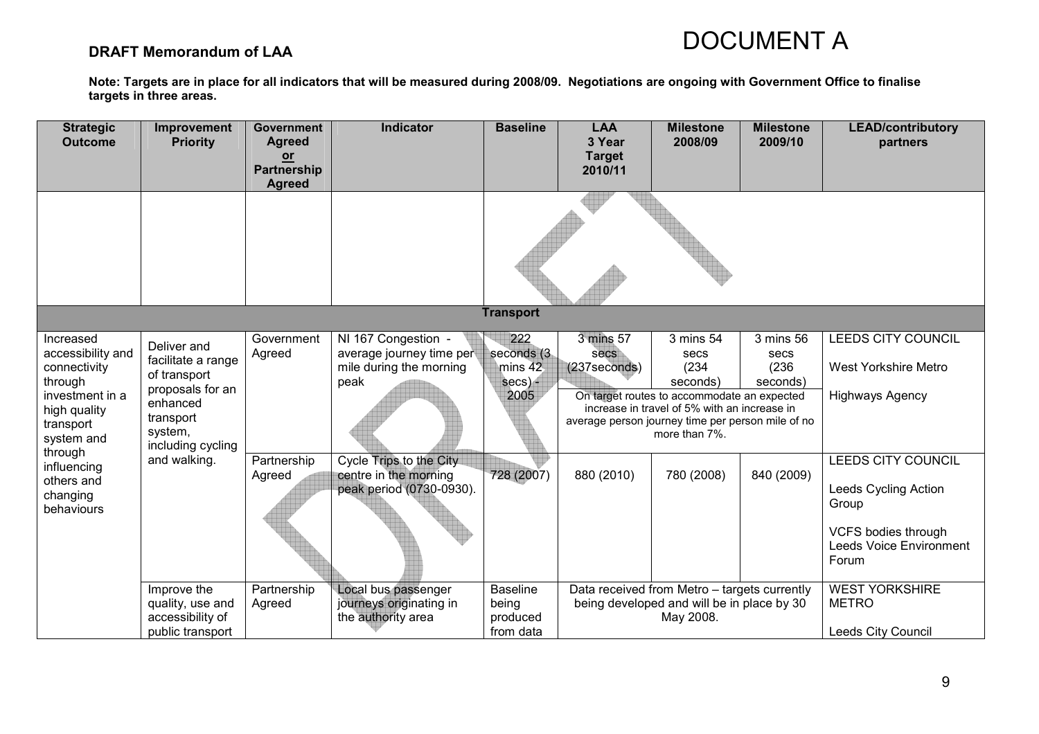### DRAFT Memorandum of LAA

| <b>Strategic</b><br><b>Outcome</b>                                                                                      | Improvement<br><b>Priority</b>                                                                                                 | <b>Government</b><br><b>Agreed</b><br>$or$<br>Partnership<br><b>Agreed</b> | Indicator                                                                          | <b>Baseline</b>                                       | <b>LAA</b><br>3 Year<br><b>Target</b><br>2010/11 | <b>Milestone</b><br>2008/09                                                                                                                                                                                 | <b>Milestone</b><br>2009/10            | <b>LEAD/contributory</b><br>partners                                                                                  |
|-------------------------------------------------------------------------------------------------------------------------|--------------------------------------------------------------------------------------------------------------------------------|----------------------------------------------------------------------------|------------------------------------------------------------------------------------|-------------------------------------------------------|--------------------------------------------------|-------------------------------------------------------------------------------------------------------------------------------------------------------------------------------------------------------------|----------------------------------------|-----------------------------------------------------------------------------------------------------------------------|
|                                                                                                                         |                                                                                                                                |                                                                            |                                                                                    |                                                       |                                                  |                                                                                                                                                                                                             |                                        |                                                                                                                       |
|                                                                                                                         |                                                                                                                                |                                                                            |                                                                                    | <b>Transport</b>                                      |                                                  |                                                                                                                                                                                                             |                                        |                                                                                                                       |
| Increased<br>accessibility and<br>connectivity<br>through<br>investment in a<br>high quality<br>transport<br>system and | Deliver and<br>facilitate a range<br>of transport<br>proposals for an<br>enhanced<br>transport<br>system,<br>including cycling | Government<br>Agreed                                                       | NI 167 Congestion -<br>average journey time per<br>mile during the morning<br>peak | 222<br>seconds (3)<br>mins $42$<br>$secs$ ) -<br>2005 | 3 mins 57<br>secs<br>$(237)$ seconds)            | 3 mins 54<br>secs<br>(234)<br>seconds)<br>On target routes to accommodate an expected<br>increase in travel of 5% with an increase in<br>average person journey time per person mile of no<br>more than 7%. | 3 mins 56<br>secs<br>(236)<br>seconds) | <b>LEEDS CITY COUNCIL</b><br><b>West Yorkshire Metro</b><br><b>Highways Agency</b>                                    |
| through<br>influencing<br>others and<br>changing<br>behaviours                                                          | and walking.                                                                                                                   | Partnership<br>Agreed                                                      | Cycle Trips to the City<br>centre in the morning<br>peak period (0730-0930).       | 728 (2007)                                            | 880 (2010)                                       | 780 (2008)                                                                                                                                                                                                  | 840 (2009)                             | LEEDS CITY COUNCIL<br>Leeds Cycling Action<br>Group<br>VCFS bodies through<br><b>Leeds Voice Environment</b><br>Forum |
|                                                                                                                         | Improve the<br>quality, use and<br>accessibility of<br>public transport                                                        | Partnership<br>Agreed                                                      | Local bus passenger<br>journeys originating in<br>the authority area               | <b>Baseline</b><br>being<br>produced<br>from data     |                                                  | Data received from Metro - targets currently<br>being developed and will be in place by 30<br>May 2008.                                                                                                     |                                        | <b>WEST YORKSHIRE</b><br><b>METRO</b><br>Leeds City Council                                                           |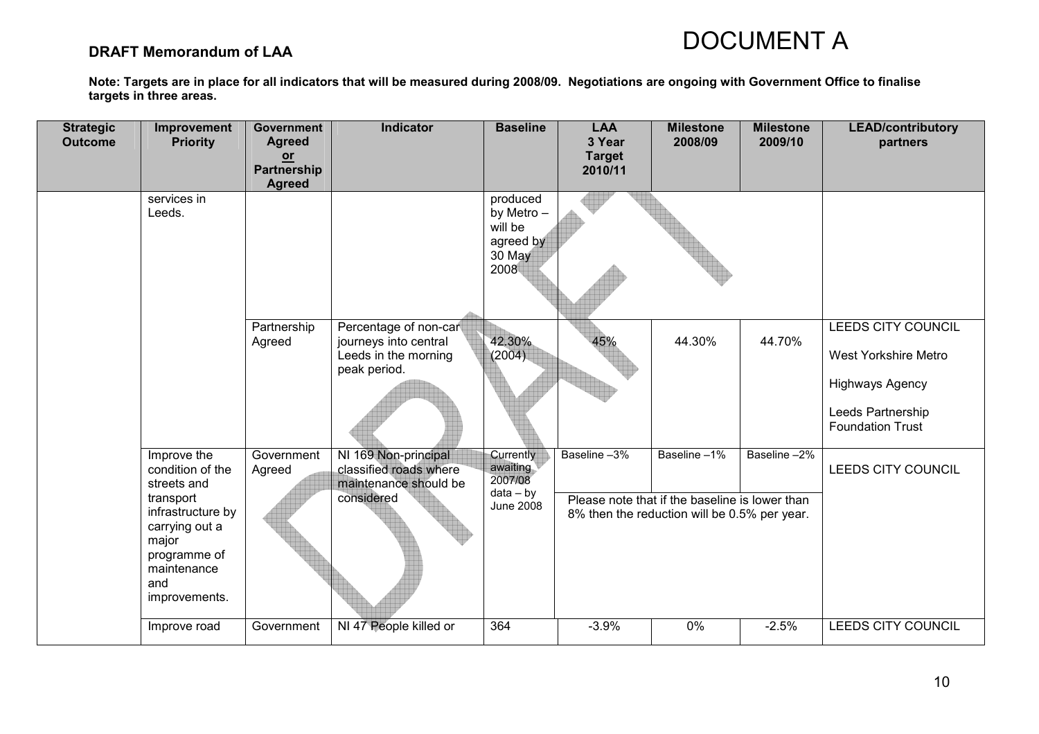### DRAFT Memorandum of LAA

| <b>Strategic</b><br><b>Outcome</b> | Improvement<br><b>Priority</b>                                                                                                                                     | <b>Government</b><br><b>Agreed</b><br>$or$<br>Partnership<br><b>Agreed</b> | <b>Indicator</b>                                                                       | <b>Baseline</b>                                                            | <b>LAA</b><br>3 Year<br><b>Target</b><br>2010/11 | <b>Milestone</b><br>2008/09                                                                                   | <b>Milestone</b><br>2009/10 | <b>LEAD/contributory</b><br>partners                                                                                 |
|------------------------------------|--------------------------------------------------------------------------------------------------------------------------------------------------------------------|----------------------------------------------------------------------------|----------------------------------------------------------------------------------------|----------------------------------------------------------------------------|--------------------------------------------------|---------------------------------------------------------------------------------------------------------------|-----------------------------|----------------------------------------------------------------------------------------------------------------------|
|                                    | services in<br>Leeds.                                                                                                                                              |                                                                            |                                                                                        | produced<br>by Metro -<br>will be<br>agreed by<br>30 May<br>2008           |                                                  |                                                                                                               |                             |                                                                                                                      |
|                                    |                                                                                                                                                                    | Partnership<br>Agreed                                                      | Percentage of non-car<br>journeys into central<br>Leeds in the morning<br>peak period. | 42.30%<br>(2004)                                                           | 45%                                              | 44.30%                                                                                                        | 44.70%                      | LEEDS CITY COUNCIL<br>West Yorkshire Metro<br><b>Highways Agency</b><br>Leeds Partnership<br><b>Foundation Trust</b> |
|                                    | Improve the<br>condition of the<br>streets and<br>transport<br>infrastructure by<br>carrying out a<br>major<br>programme of<br>maintenance<br>and<br>improvements. | Government<br>Agreed                                                       | NI 169 Non-principal<br>classified roads where<br>maintenance should be<br>considered  | <b>Currently</b><br>awaiting<br>2007/08<br>$data - by$<br><b>June 2008</b> | Baseline -3%                                     | Baseline-1%<br>Please note that if the baseline is lower than<br>8% then the reduction will be 0.5% per year. | Baseline-2%                 | LEEDS CITY COUNCIL                                                                                                   |
|                                    | Improve road                                                                                                                                                       | Government                                                                 | NI 47 People killed or                                                                 | 364                                                                        | $-3.9%$                                          | 0%                                                                                                            | $-2.5%$                     | LEEDS CITY COUNCIL                                                                                                   |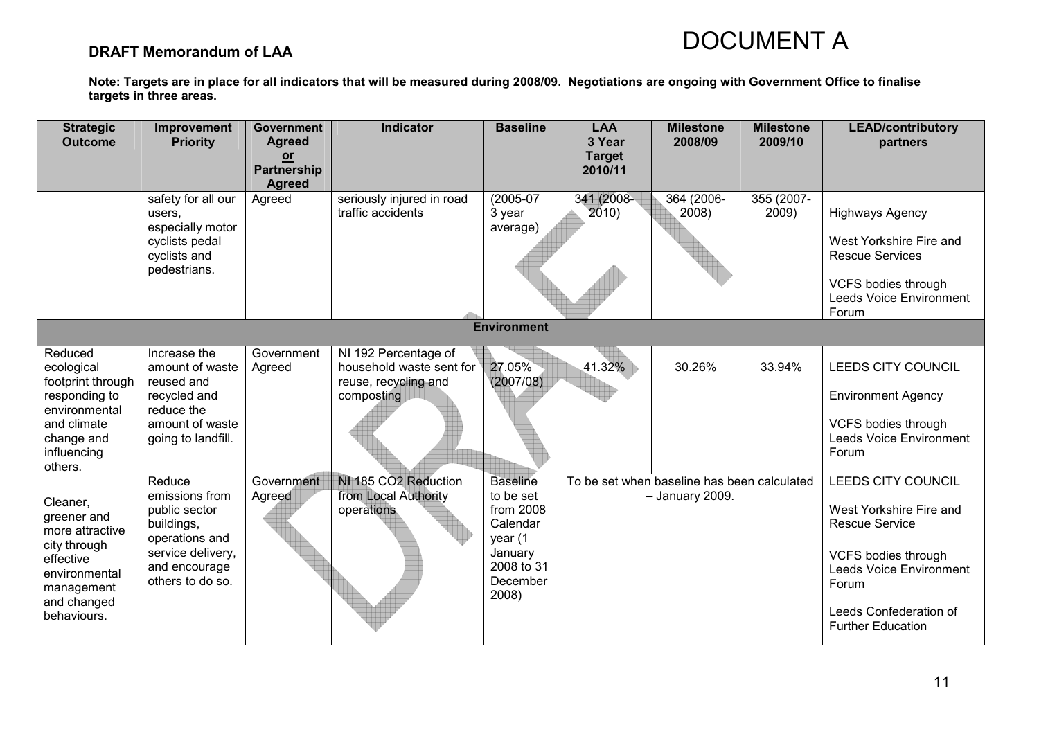### DRAFT Memorandum of LAA

| <b>Strategic</b><br><b>Outcome</b>                                                                                                   | Improvement<br><b>Priority</b>                                                                                                      | <b>Government</b><br><b>Agreed</b><br>$or$<br><b>Partnership</b><br><b>Agreed</b> | <b>Indicator</b>                                                                       | <b>Baseline</b>                                                                                                | <b>LAA</b><br>3 Year<br><b>Target</b><br>2010/11 | <b>Milestone</b><br>2008/09                                    | <b>Milestone</b><br>2009/10 | <b>LEAD/contributory</b><br>partners                                                                                                                                                                         |
|--------------------------------------------------------------------------------------------------------------------------------------|-------------------------------------------------------------------------------------------------------------------------------------|-----------------------------------------------------------------------------------|----------------------------------------------------------------------------------------|----------------------------------------------------------------------------------------------------------------|--------------------------------------------------|----------------------------------------------------------------|-----------------------------|--------------------------------------------------------------------------------------------------------------------------------------------------------------------------------------------------------------|
|                                                                                                                                      | safety for all our<br>users.<br>especially motor<br>cyclists pedal<br>cyclists and<br>pedestrians.                                  | Agreed                                                                            | seriously injured in road<br>traffic accidents                                         | $(2005-07)$<br>3 year<br>average)                                                                              | 341 (2008-<br>2010)                              | 364 (2006-<br>2008)                                            | 355 (2007-<br>2009)         | <b>Highways Agency</b><br>West Yorkshire Fire and<br><b>Rescue Services</b><br><b>VCFS bodies through</b><br><b>Leeds Voice Environment</b><br>Forum                                                         |
|                                                                                                                                      |                                                                                                                                     |                                                                                   |                                                                                        | <b>Environment</b>                                                                                             |                                                  |                                                                |                             |                                                                                                                                                                                                              |
| Reduced<br>ecological<br>footprint through<br>responding to<br>environmental<br>and climate<br>change and<br>influencing<br>others.  | Increase the<br>amount of waste<br>reused and<br>recycled and<br>reduce the<br>amount of waste<br>going to landfill.                | Government<br>Agreed                                                              | NI 192 Percentage of<br>household waste sent for<br>reuse, recycling and<br>composting | 27.05%<br>(2007/08)                                                                                            | 41.32%                                           | 30.26%                                                         | 33.94%                      | LEEDS CITY COUNCIL<br><b>Environment Agency</b><br><b>VCFS bodies through</b><br><b>Leeds Voice Environment</b><br>Forum                                                                                     |
| Cleaner,<br>greener and<br>more attractive<br>city through<br>effective<br>environmental<br>management<br>and changed<br>behaviours. | Reduce<br>emissions from<br>public sector<br>buildings,<br>operations and<br>service delivery,<br>and encourage<br>others to do so. | Government<br>Agreed                                                              | NI 185 CO2 Reduction<br>from Local Authority<br>operations                             | <b>Baseline</b><br>to be set<br>from 2008<br>Calendar<br>year (1<br>January<br>2008 to 31<br>December<br>2008) |                                                  | To be set when baseline has been calculated<br>- January 2009. |                             | <b>LEEDS CITY COUNCIL</b><br>West Yorkshire Fire and<br><b>Rescue Service</b><br><b>VCFS bodies through</b><br><b>Leeds Voice Environment</b><br>Forum<br>Leeds Confederation of<br><b>Further Education</b> |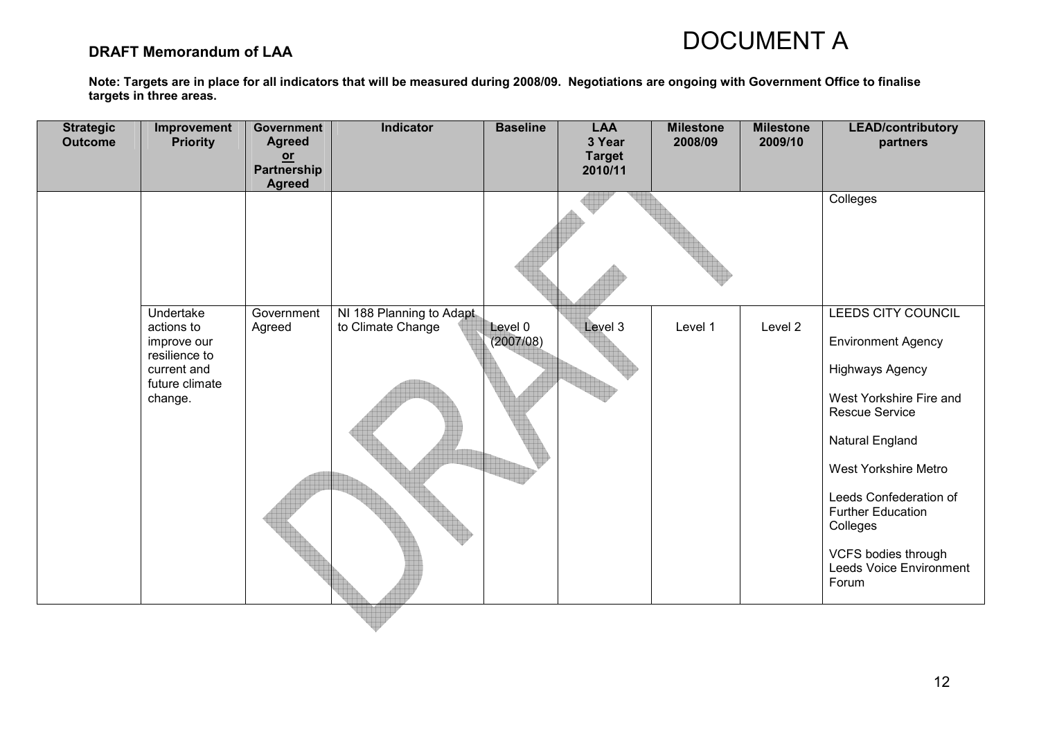### DRAFT Memorandum of LAA

| <b>Strategic</b><br><b>Outcome</b> | Improvement<br><b>Priority</b>                                                                      | Government<br><b>Agreed</b><br>$or$<br>Partnership<br><b>Agreed</b> | Indicator                                     | <b>Baseline</b>      | <b>LAA</b><br>3 Year<br><b>Target</b><br>2010/11 | <b>Milestone</b><br>2008/09 | <b>Milestone</b><br>2009/10 | <b>LEAD/contributory</b><br>partners                                                                                                                                                                                                                                                                  |
|------------------------------------|-----------------------------------------------------------------------------------------------------|---------------------------------------------------------------------|-----------------------------------------------|----------------------|--------------------------------------------------|-----------------------------|-----------------------------|-------------------------------------------------------------------------------------------------------------------------------------------------------------------------------------------------------------------------------------------------------------------------------------------------------|
|                                    |                                                                                                     |                                                                     |                                               |                      |                                                  |                             |                             | Colleges                                                                                                                                                                                                                                                                                              |
|                                    | Undertake<br>actions to<br>improve our<br>resilience to<br>current and<br>future climate<br>change. | Government<br>Agreed                                                | NI 188 Planning to Adapt<br>to Climate Change | Level 0<br>(2007/08) | Level 3                                          | Level 1                     | Level 2                     | LEEDS CITY COUNCIL<br><b>Environment Agency</b><br>Highways Agency<br>West Yorkshire Fire and<br><b>Rescue Service</b><br>Natural England<br>West Yorkshire Metro<br>Leeds Confederation of<br><b>Further Education</b><br>Colleges<br>VCFS bodies through<br><b>Leeds Voice Environment</b><br>Forum |
|                                    |                                                                                                     |                                                                     |                                               |                      |                                                  |                             |                             |                                                                                                                                                                                                                                                                                                       |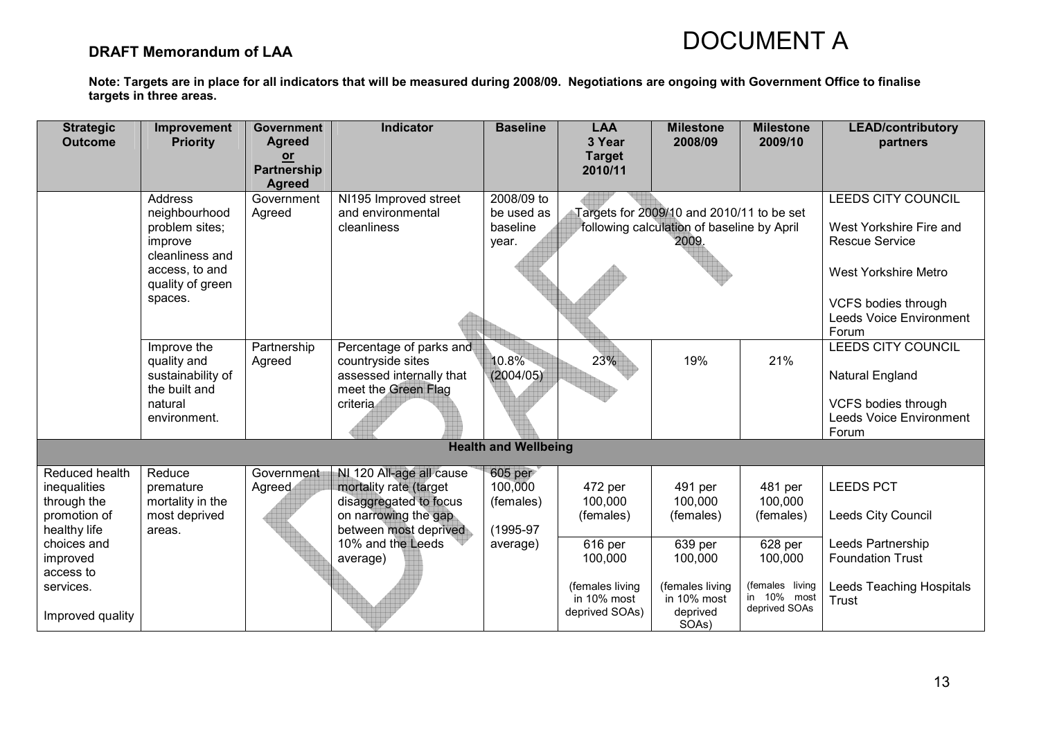### DRAFT Memorandum of LAA

| <b>Strategic</b><br><b>Outcome</b>            | Improvement<br><b>Priority</b>               | <b>Government</b><br><b>Agreed</b>          | <b>Indicator</b>                                                             | <b>Baseline</b>                 | <b>LAA</b><br>3 Year                             | <b>Milestone</b><br>2008/09                         | <b>Milestone</b><br>2009/10                     | <b>LEAD/contributory</b><br>partners                           |
|-----------------------------------------------|----------------------------------------------|---------------------------------------------|------------------------------------------------------------------------------|---------------------------------|--------------------------------------------------|-----------------------------------------------------|-------------------------------------------------|----------------------------------------------------------------|
|                                               |                                              | $or$<br><b>Partnership</b><br><b>Agreed</b> |                                                                              |                                 | <b>Target</b><br>2010/11                         |                                                     |                                                 |                                                                |
|                                               | <b>Address</b>                               | Government                                  | NI195 Improved street                                                        | 2008/09 to                      |                                                  |                                                     |                                                 | <b>LEEDS CITY COUNCIL</b>                                      |
|                                               | neighbourhood                                | Agreed                                      | and environmental                                                            | be used as                      |                                                  | Targets for 2009/10 and 2010/11 to be set           |                                                 |                                                                |
|                                               | problem sites;<br>improve<br>cleanliness and |                                             | cleanliness                                                                  | baseline<br>year.               |                                                  | following calculation of baseline by April<br>2009. |                                                 | West Yorkshire Fire and<br><b>Rescue Service</b>               |
|                                               | access, to and<br>quality of green           |                                             |                                                                              |                                 |                                                  |                                                     |                                                 | <b>West Yorkshire Metro</b>                                    |
|                                               | spaces.                                      |                                             |                                                                              |                                 |                                                  |                                                     |                                                 | VCFS bodies through<br><b>Leeds Voice Environment</b><br>Forum |
|                                               | Improve the                                  | Partnership                                 | Percentage of parks and                                                      |                                 |                                                  |                                                     |                                                 | <b>LEEDS CITY COUNCIL</b>                                      |
|                                               | quality and<br>sustainability of             | Agreed                                      | countryside sites<br>assessed internally that                                | 10.8%<br>(2004/05)              | 23%                                              | 19%                                                 | 21%                                             | Natural England                                                |
|                                               | the built and<br>natural<br>environment.     |                                             | meet the Green Flag<br>criteria                                              |                                 |                                                  |                                                     |                                                 | VCFS bodies through<br><b>Leeds Voice Environment</b><br>Forum |
|                                               |                                              |                                             |                                                                              | <b>Health and Wellbeing</b>     |                                                  |                                                     |                                                 |                                                                |
| Reduced health<br>inequalities<br>through the | Reduce<br>premature<br>mortality in the      | Government<br>Agreed                        | NI 120 All-age all cause<br>mortality rate (target<br>disaggregated to focus | 605 per<br>100,000<br>(females) | 472 per<br>100,000                               | 491 per<br>100,000                                  | 481 per<br>100,000                              | <b>LEEDS PCT</b>                                               |
| promotion of<br>healthy life                  | most deprived<br>areas.                      |                                             | on narrowing the gap<br>between most deprived                                | (1995-97                        | (females)                                        | (females)                                           | (females)                                       | Leeds City Council                                             |
| choices and<br>improved<br>access to          |                                              |                                             | 10% and the Leeds<br>average)                                                | average)                        | 616 per<br>100,000                               | 639 per<br>100,000                                  | 628 per<br>100,000                              | Leeds Partnership<br><b>Foundation Trust</b>                   |
| services.<br>Improved quality                 |                                              |                                             |                                                                              |                                 | (females living<br>in 10% most<br>deprived SOAs) | (females living<br>in 10% most<br>deprived<br>SOAs) | (females living<br>in 10% most<br>deprived SOAs | Leeds Teaching Hospitals<br><b>Trust</b>                       |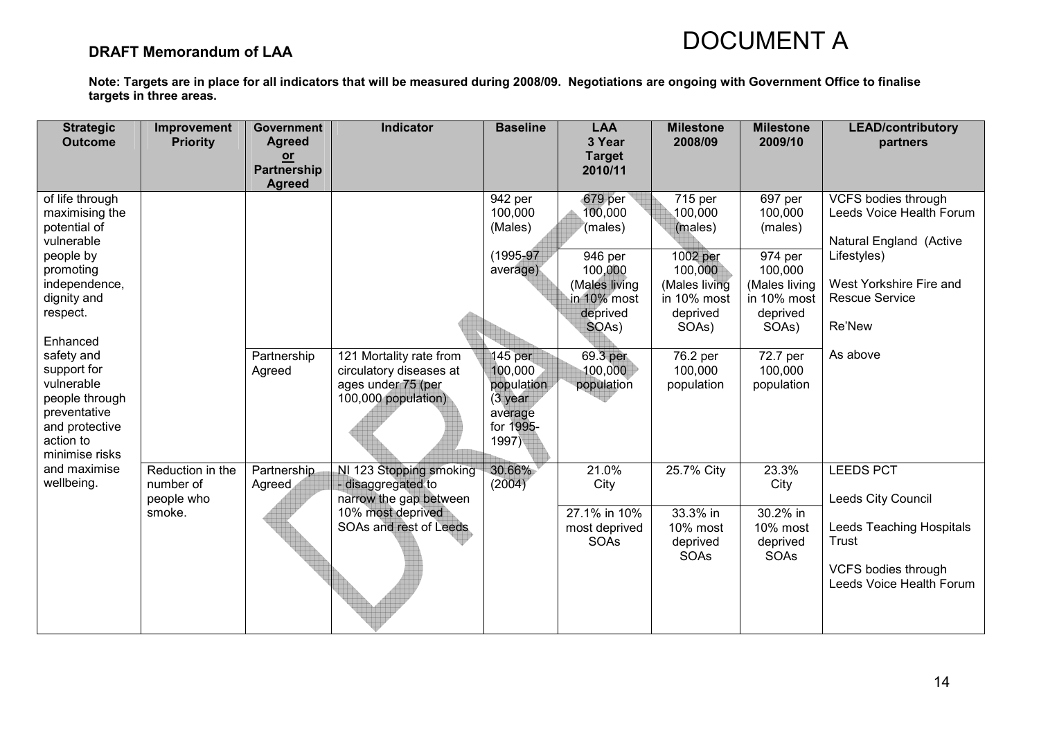### DRAFT Memorandum of LAA

| <b>Strategic</b>                  | Improvement      | <b>Government</b>          | <b>Indicator</b>                              | <b>Baseline</b>           | <b>LAA</b>              | <b>Milestone</b>      | <b>Milestone</b>      | <b>LEAD/contributory</b>                        |
|-----------------------------------|------------------|----------------------------|-----------------------------------------------|---------------------------|-------------------------|-----------------------|-----------------------|-------------------------------------------------|
| <b>Outcome</b>                    | <b>Priority</b>  | <b>Agreed</b><br><u>or</u> |                                               |                           | 3 Year<br><b>Target</b> | 2008/09               | 2009/10               | partners                                        |
|                                   |                  | <b>Partnership</b>         |                                               |                           | 2010/11                 |                       |                       |                                                 |
| of life through<br>maximising the |                  | <b>Agreed</b>              |                                               | 942 per<br>100,000        | 679 per<br>100,000      | 715 per<br>100,000    | 697 per<br>100,000    | VCFS bodies through<br>Leeds Voice Health Forum |
| potential of                      |                  |                            |                                               | (Males)                   | (males)                 | (males)               | (males)               |                                                 |
| vulnerable                        |                  |                            |                                               |                           |                         |                       |                       | Natural England (Active                         |
| people by<br>promoting            |                  |                            |                                               | $(1995 - 97)$<br>average) | 946 per<br>100,000      | 1002 per<br>100,000   | 974 per<br>100,000    | Lifestyles)                                     |
| independence,                     |                  |                            |                                               |                           | (Males living           | (Males living         | (Males living         | West Yorkshire Fire and                         |
| dignity and                       |                  |                            |                                               |                           | in 10% most             | in 10% most           | in 10% most           | <b>Rescue Service</b>                           |
| respect.                          |                  |                            |                                               |                           | deprived<br>SOAs)       | deprived<br>SOAs)     | deprived<br>SOAs)     | Re'New                                          |
| Enhanced                          |                  |                            |                                               |                           |                         |                       |                       |                                                 |
| safety and                        |                  | Partnership                | 121 Mortality rate from                       | 145 per                   | 69.3 per                | 76.2 per              | 72.7 per              | As above                                        |
| support for<br>vulnerable         |                  | Agreed                     | circulatory diseases at<br>ages under 75 (per | 100,000<br>population     | 100,000<br>population   | 100,000<br>population | 100,000<br>population |                                                 |
| people through                    |                  |                            | 100,000 population)                           | $(3$ year                 |                         |                       |                       |                                                 |
| preventative                      |                  |                            |                                               | average                   |                         |                       |                       |                                                 |
| and protective<br>action to       |                  |                            |                                               | for 1995-<br>1997)        |                         |                       |                       |                                                 |
| minimise risks<br>and maximise    | Reduction in the | Partnership                | NI 123 Stopping smoking                       | 30.66%                    | 21.0%                   | 25.7% City            | 23.3%                 | <b>LEEDS PCT</b>                                |
| wellbeing.                        | number of        | Agreed                     | - disaggregated to                            | (2004)                    | City                    |                       | City                  |                                                 |
|                                   | people who       |                            | narrow the gap between                        |                           |                         |                       |                       | Leeds City Council                              |
|                                   | smoke.           |                            | 10% most deprived<br>SOAs and rest of Leeds   |                           | 27.1% in 10%            | 33.3% in<br>10% most  | 30.2% in<br>10% most  | <b>Leeds Teaching Hospitals</b>                 |
|                                   |                  |                            |                                               |                           | most deprived<br>SOAs   | deprived              | deprived              | Trust                                           |
|                                   |                  |                            |                                               |                           |                         | SOAs                  | SOAs                  |                                                 |
|                                   |                  |                            |                                               |                           |                         |                       |                       | VCFS bodies through<br>Leeds Voice Health Forum |
|                                   |                  |                            |                                               |                           |                         |                       |                       |                                                 |
|                                   |                  |                            |                                               |                           |                         |                       |                       |                                                 |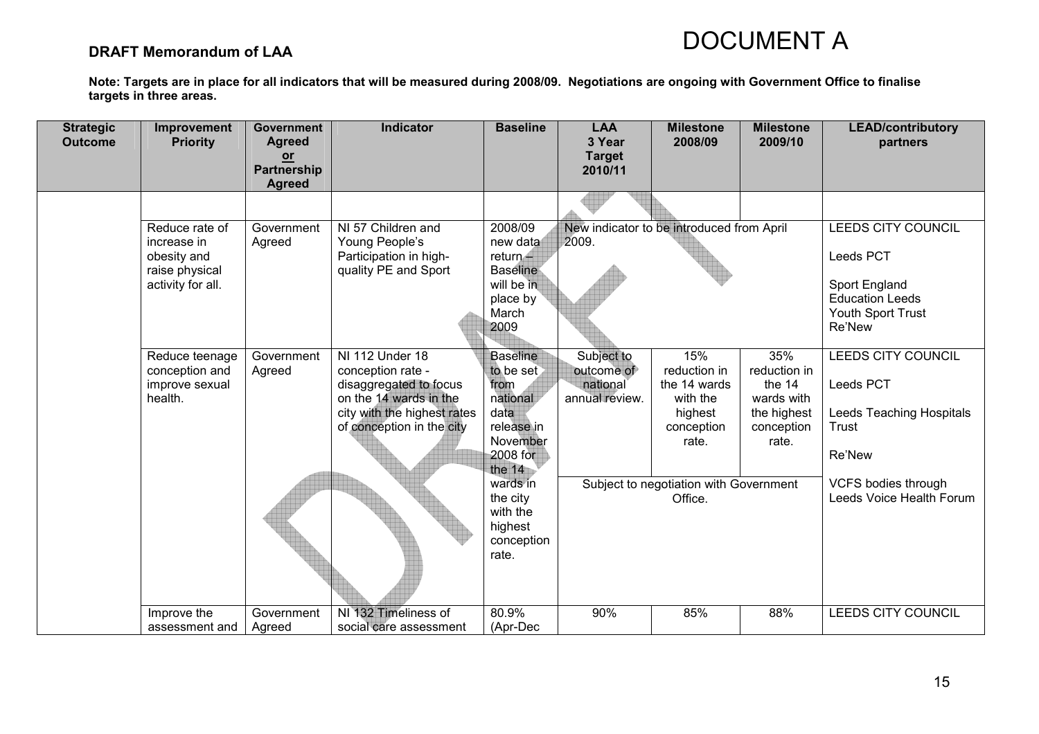### DRAFT Memorandum of LAA

| <b>Strategic</b><br><b>Outcome</b> | Improvement<br><b>Priority</b>                                                      | <b>Government</b><br><b>Agreed</b>   | Indicator                                                                                                                                            | <b>Baseline</b>                                                                                            | <b>LAA</b><br>3 Year                                   | <b>Milestone</b><br>2008/09                                                       | <b>Milestone</b><br>2009/10                                                       | <b>LEAD/contributory</b><br>partners                                                  |
|------------------------------------|-------------------------------------------------------------------------------------|--------------------------------------|------------------------------------------------------------------------------------------------------------------------------------------------------|------------------------------------------------------------------------------------------------------------|--------------------------------------------------------|-----------------------------------------------------------------------------------|-----------------------------------------------------------------------------------|---------------------------------------------------------------------------------------|
|                                    |                                                                                     | $or$<br>Partnership<br><b>Agreed</b> |                                                                                                                                                      |                                                                                                            | <b>Target</b><br>2010/11                               |                                                                                   |                                                                                   |                                                                                       |
|                                    |                                                                                     |                                      |                                                                                                                                                      |                                                                                                            |                                                        |                                                                                   |                                                                                   |                                                                                       |
|                                    | Reduce rate of<br>increase in<br>obesity and<br>raise physical<br>activity for all. | Government<br>Agreed                 | NI 57 Children and<br>Young People's<br>Participation in high-<br>quality PE and Sport                                                               | 2008/09<br>new data<br>return<br><b>Baseline</b><br>will be in                                             | 2009.                                                  | New indicator to be introduced from April                                         |                                                                                   | <b>LEEDS CITY COUNCIL</b><br>Leeds PCT<br>Sport England                               |
|                                    |                                                                                     |                                      |                                                                                                                                                      | place by<br>March<br>2009                                                                                  |                                                        |                                                                                   |                                                                                   | <b>Education Leeds</b><br>Youth Sport Trust<br>Re'New                                 |
|                                    | Reduce teenage<br>conception and<br>improve sexual<br>health.                       | Government<br>Agreed                 | NI 112 Under 18<br>conception rate -<br>disaggregated to focus<br>on the 14 wards in the<br>city with the highest rates<br>of conception in the city | <b>Baseline</b><br>to be set<br>from<br>national<br>data<br>release in<br>November<br>2008 for<br>the $14$ | Subject to<br>outcome of<br>national<br>annual review. | 15%<br>reduction in<br>the 14 wards<br>with the<br>highest<br>conception<br>rate. | 35%<br>reduction in<br>the 14<br>wards with<br>the highest<br>conception<br>rate. | <b>LEEDS CITY COUNCIL</b><br>Leeds PCT<br>Leeds Teaching Hospitals<br>Trust<br>Re'New |
|                                    |                                                                                     |                                      |                                                                                                                                                      | wards in<br>the city<br>with the<br>highest<br>conception<br>rate.                                         |                                                        | Subject to negotiation with Government<br>Office.                                 |                                                                                   | <b>VCFS bodies through</b><br>Leeds Voice Health Forum                                |
|                                    | Improve the<br>assessment and                                                       | Government<br>Agreed                 | NI 132 Timeliness of<br>social care assessment                                                                                                       | 80.9%<br>(Apr-Dec                                                                                          | 90%                                                    | 85%                                                                               | 88%                                                                               | <b>LEEDS CITY COUNCIL</b>                                                             |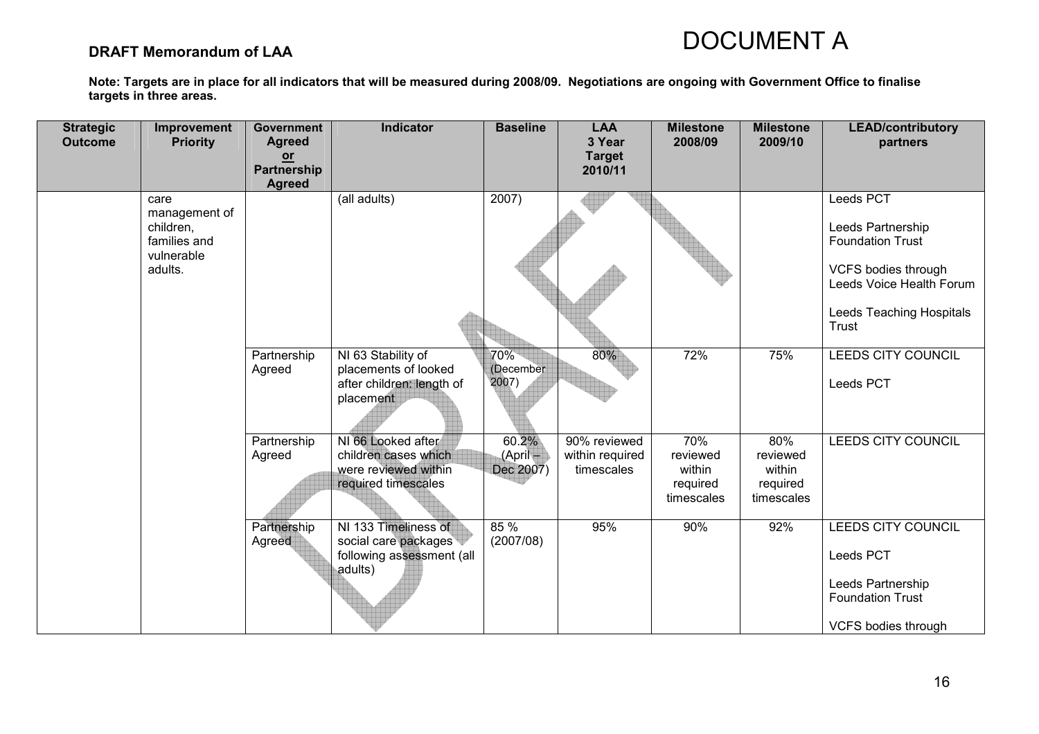### DRAFT Memorandum of LAA

| <b>Strategic</b><br><b>Outcome</b> | Improvement<br><b>Priority</b>                                              | <b>Government</b><br><b>Agreed</b><br>$or$<br>Partnership<br><b>Agreed</b> | Indicator                                                                                 | <b>Baseline</b>                | <b>LAA</b><br>3 Year<br><b>Target</b><br>2010/11 | <b>Milestone</b><br>2008/09                         | <b>Milestone</b><br>2009/10                         | <b>LEAD/contributory</b><br>partners                                                                                                                     |
|------------------------------------|-----------------------------------------------------------------------------|----------------------------------------------------------------------------|-------------------------------------------------------------------------------------------|--------------------------------|--------------------------------------------------|-----------------------------------------------------|-----------------------------------------------------|----------------------------------------------------------------------------------------------------------------------------------------------------------|
|                                    | care<br>management of<br>children,<br>families and<br>vulnerable<br>adults. |                                                                            | (all adults)                                                                              | $\overline{2007}$              |                                                  |                                                     |                                                     | Leeds PCT<br>Leeds Partnership<br><b>Foundation Trust</b><br><b>VCFS bodies through</b><br>Leeds Voice Health Forum<br>Leeds Teaching Hospitals<br>Trust |
|                                    |                                                                             | Partnership<br>Agreed                                                      | NI 63 Stability of<br>placements of looked<br>after children: length of<br>placement      | 70%<br>(December<br>2007)      | 80%                                              | 72%                                                 | 75%                                                 | LEEDS CITY COUNCIL<br>Leeds PCT                                                                                                                          |
|                                    |                                                                             | Partnership<br>Agreed                                                      | NI 66 Looked after<br>children cases which<br>were reviewed within<br>required timescales | 60.2%<br>(April -<br>Dec 2007) | 90% reviewed<br>within required<br>timescales    | 70%<br>reviewed<br>within<br>required<br>timescales | 80%<br>reviewed<br>within<br>required<br>timescales | <b>LEEDS CITY COUNCIL</b>                                                                                                                                |
|                                    |                                                                             | Partnership<br>Agreed                                                      | NI 133 Timeliness of<br>social care packages<br>following assessment (all<br>adults)      | 85 %<br>(2007/08)              | 95%                                              | 90%                                                 | 92%                                                 | LEEDS CITY COUNCIL<br>Leeds PCT<br>Leeds Partnership<br><b>Foundation Trust</b><br>VCFS bodies through                                                   |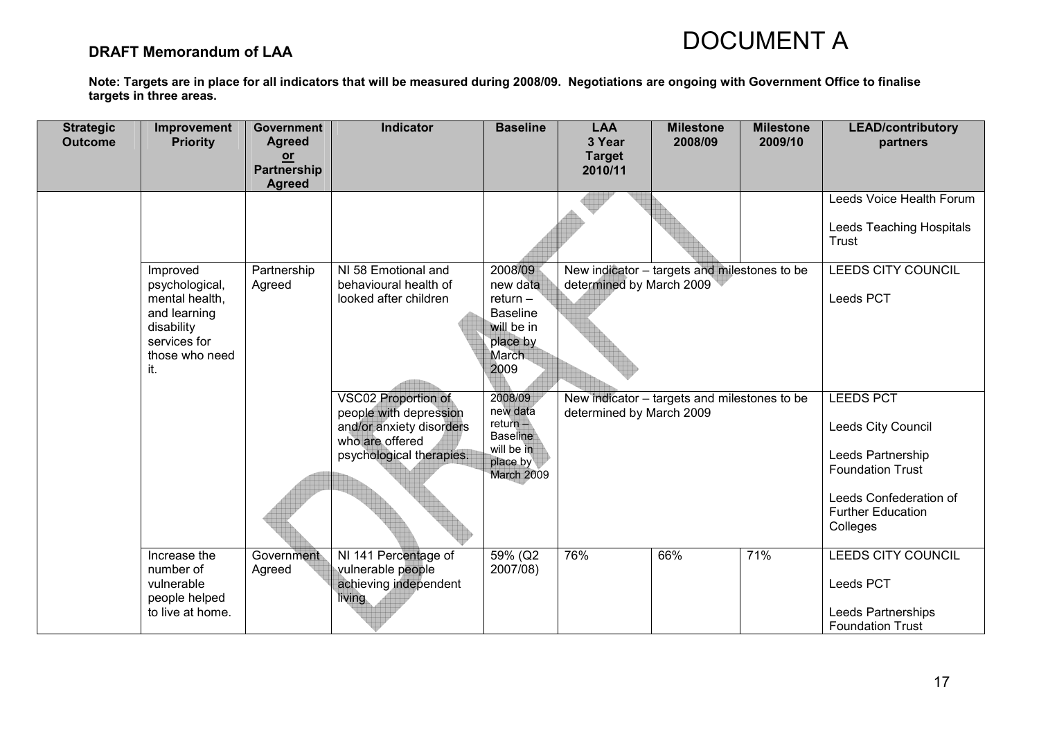### DRAFT Memorandum of LAA

| <b>Strategic</b><br><b>Outcome</b> | Improvement<br><b>Priority</b>                                                                                      | <b>Government</b><br><b>Agreed</b><br>$or$ | <b>Indicator</b>                                                                                                                | <b>Baseline</b>                                                                                        | <b>LAA</b><br>3 Year<br><b>Target</b> | <b>Milestone</b><br>2008/09                  | <b>Milestone</b><br>2009/10 | <b>LEAD/contributory</b><br>partners                                                                                                                     |
|------------------------------------|---------------------------------------------------------------------------------------------------------------------|--------------------------------------------|---------------------------------------------------------------------------------------------------------------------------------|--------------------------------------------------------------------------------------------------------|---------------------------------------|----------------------------------------------|-----------------------------|----------------------------------------------------------------------------------------------------------------------------------------------------------|
|                                    |                                                                                                                     | <b>Partnership</b><br><b>Agreed</b>        |                                                                                                                                 |                                                                                                        | 2010/11                               |                                              |                             |                                                                                                                                                          |
|                                    |                                                                                                                     |                                            |                                                                                                                                 |                                                                                                        |                                       |                                              |                             | Leeds Voice Health Forum<br>Leeds Teaching Hospitals<br>Trust                                                                                            |
|                                    | Improved<br>psychological,<br>mental health,<br>and learning<br>disability<br>services for<br>those who need<br>it. | Partnership<br>Agreed                      | NI 58 Emotional and<br>behavioural health of<br>looked after children                                                           | 2008/09<br>new data<br>$return -$<br><b>Baseline</b><br>will be in<br>place by<br><b>March</b><br>2009 | determined by March 2009              | New indicator - targets and milestones to be |                             | <b>LEEDS CITY COUNCIL</b><br>Leeds PCT                                                                                                                   |
|                                    |                                                                                                                     |                                            | <b>VSC02 Proportion of</b><br>people with depression<br>and/or anxiety disorders<br>who are offered<br>psychological therapies. | 2008/09<br>new data<br>$return -$<br><b>Baseline</b><br>will be in<br>place by<br>March 2009           | determined by March 2009              | New indicator – targets and milestones to be |                             | <b>LEEDS PCT</b><br>Leeds City Council<br>Leeds Partnership<br><b>Foundation Trust</b><br>Leeds Confederation of<br><b>Further Education</b><br>Colleges |
|                                    | Increase the<br>number of<br>vulnerable<br>people helped<br>to live at home.                                        | Government<br>Agreed                       | NI 141 Percentage of<br>vulnerable people<br>achieving independent<br>living                                                    | 59% (Q2<br>2007/08)                                                                                    | 76%                                   | 66%                                          | 71%                         | <b>LEEDS CITY COUNCIL</b><br>Leeds PCT<br>Leeds Partnerships<br><b>Foundation Trust</b>                                                                  |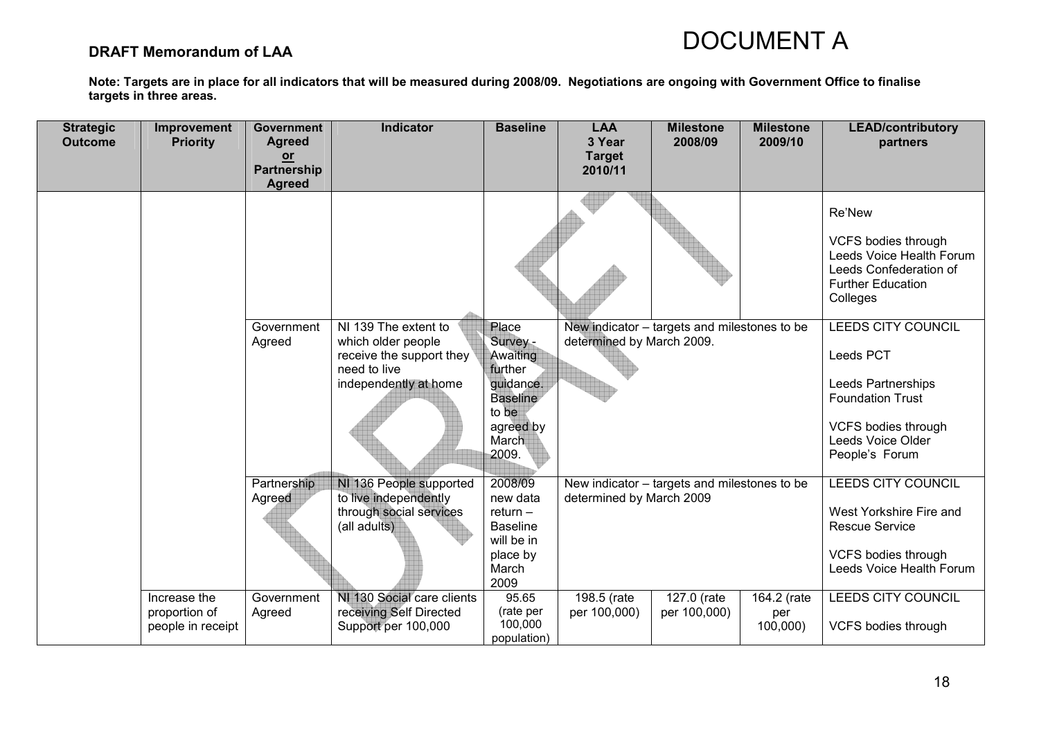### DRAFT Memorandum of LAA

| <b>Strategic</b><br><b>Outcome</b> | Improvement<br><b>Priority</b>                     | <b>Government</b><br><b>Agreed</b><br>$or$<br>Partnership<br><b>Agreed</b> | <b>Indicator</b>                                                                                                             | <b>Baseline</b>                                                                                                  | <b>LAA</b><br>3 Year<br><b>Target</b><br>2010/11 | <b>Milestone</b><br>2008/09                  | <b>Milestone</b><br>2009/10    | <b>LEAD/contributory</b><br>partners                                                                                                                  |
|------------------------------------|----------------------------------------------------|----------------------------------------------------------------------------|------------------------------------------------------------------------------------------------------------------------------|------------------------------------------------------------------------------------------------------------------|--------------------------------------------------|----------------------------------------------|--------------------------------|-------------------------------------------------------------------------------------------------------------------------------------------------------|
|                                    |                                                    |                                                                            |                                                                                                                              |                                                                                                                  |                                                  |                                              |                                | Re'New<br>VCFS bodies through<br>Leeds Voice Health Forum<br>Leeds Confederation of<br><b>Further Education</b><br>Colleges                           |
|                                    |                                                    | Government<br>Agreed                                                       | $\overline{NI}$ 139 The extent to<br>which older people<br>receive the support they<br>need to live<br>independently at home | Place<br>Survey -<br>Awaiting<br>further<br>guidance.<br><b>Baseline</b><br>to be<br>agreed by<br>March<br>2009. | determined by March 2009.                        | New indicator - targets and milestones to be |                                | <b>LEEDS CITY COUNCIL</b><br>Leeds PCT<br>Leeds Partnerships<br><b>Foundation Trust</b><br>VCFS bodies through<br>Leeds Voice Older<br>People's Forum |
|                                    |                                                    | Partnership<br>Agreed                                                      | NI 136 People supported<br>to live independently<br>through social services<br>(all adults)                                  | 2008/09<br>new data<br>$return -$<br><b>Baseline</b><br>will be in<br>place by<br>March<br>2009                  | determined by March 2009                         | New indicator - targets and milestones to be |                                | <b>LEEDS CITY COUNCIL</b><br>West Yorkshire Fire and<br><b>Rescue Service</b><br>VCFS bodies through<br>Leeds Voice Health Forum                      |
|                                    | Increase the<br>proportion of<br>people in receipt | Government<br>Agreed                                                       | NI 130 Social care clients<br>receiving Self Directed<br>Support per 100,000                                                 | 95.65<br>(rate per<br>100,000<br>population)                                                                     | 198.5 (rate<br>per 100,000)                      | 127.0 (rate<br>per 100,000)                  | 164.2 (rate<br>per<br>100,000) | LEEDS CITY COUNCIL<br>VCFS bodies through                                                                                                             |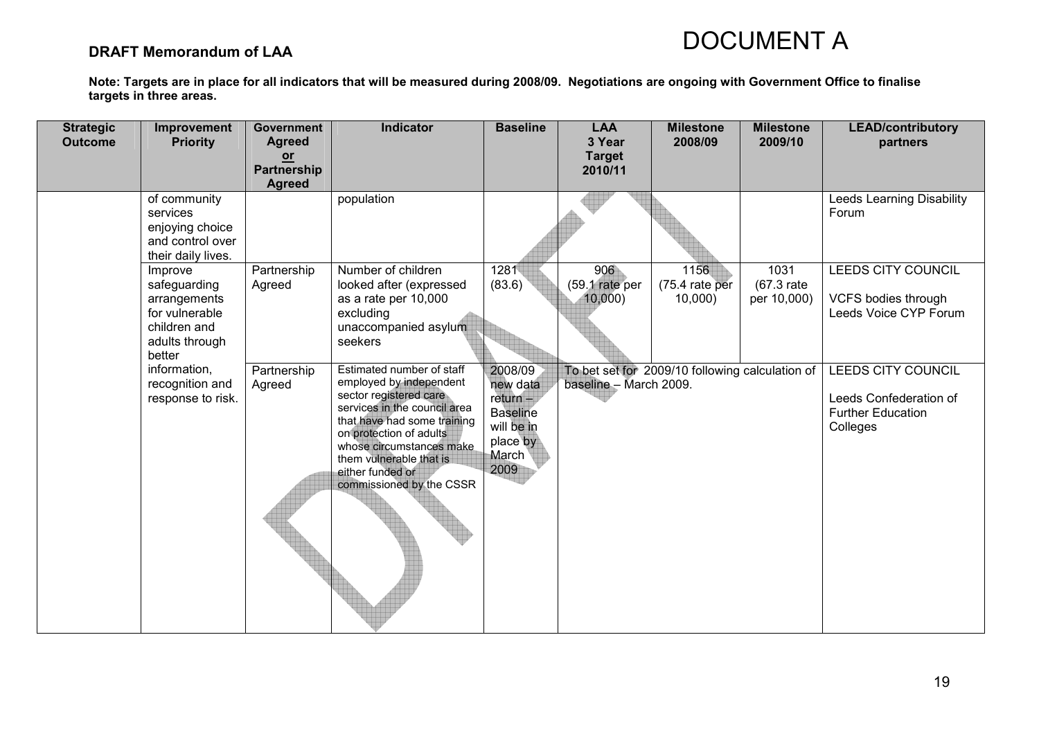### DRAFT Memorandum of LAA

| <b>Strategic</b><br><b>Outcome</b> | Improvement<br><b>Priority</b>                                                                        | <b>Government</b><br><b>Agreed</b>          | Indicator                                                                                                                                                                                                                                                                       | <b>Baseline</b>                                                                                 | <b>LAA</b><br>3 Year            | <b>Milestone</b><br>2008/09                     | <b>Milestone</b><br>2009/10          | <b>LEAD/contributory</b>                                                                    |
|------------------------------------|-------------------------------------------------------------------------------------------------------|---------------------------------------------|---------------------------------------------------------------------------------------------------------------------------------------------------------------------------------------------------------------------------------------------------------------------------------|-------------------------------------------------------------------------------------------------|---------------------------------|-------------------------------------------------|--------------------------------------|---------------------------------------------------------------------------------------------|
|                                    |                                                                                                       | $or$<br><b>Partnership</b><br><b>Agreed</b> |                                                                                                                                                                                                                                                                                 |                                                                                                 | <b>Target</b><br>2010/11        |                                                 |                                      | partners                                                                                    |
|                                    | of community<br>services<br>enjoying choice<br>and control over<br>their daily lives.                 |                                             | population                                                                                                                                                                                                                                                                      |                                                                                                 |                                 |                                                 |                                      | <b>Leeds Learning Disability</b><br>Forum                                                   |
|                                    | Improve<br>safeguarding<br>arrangements<br>for vulnerable<br>children and<br>adults through<br>better | Partnership<br>Agreed                       | Number of children<br>looked after (expressed<br>as a rate per 10,000<br>excluding<br>unaccompanied asylum<br>seekers                                                                                                                                                           | 1281<br>(83.6)                                                                                  | 906<br>(59.1 rate per<br>10,000 | 1156<br>(75.4 rate per<br>10,000                | 1031<br>$(67.3)$ rate<br>per 10,000) | LEEDS CITY COUNCIL<br>VCFS bodies through<br>Leeds Voice CYP Forum                          |
|                                    | information,<br>recognition and<br>response to risk.                                                  | Partnership<br>Agreed                       | Estimated number of staff<br>employed by independent<br>sector registered care<br>services in the council area<br>that have had some training<br>on protection of adults<br>whose circumstances make<br>them vulnerable that is<br>either funded or<br>commissioned by the CSSR | 2008/09<br>new data<br>$return -$<br><b>Baseline</b><br>will be in<br>place by<br>March<br>2009 | baseline - March 2009.          | To bet set for 2009/10 following calculation of |                                      | <b>LEEDS CITY COUNCIL</b><br>Leeds Confederation of<br><b>Further Education</b><br>Colleges |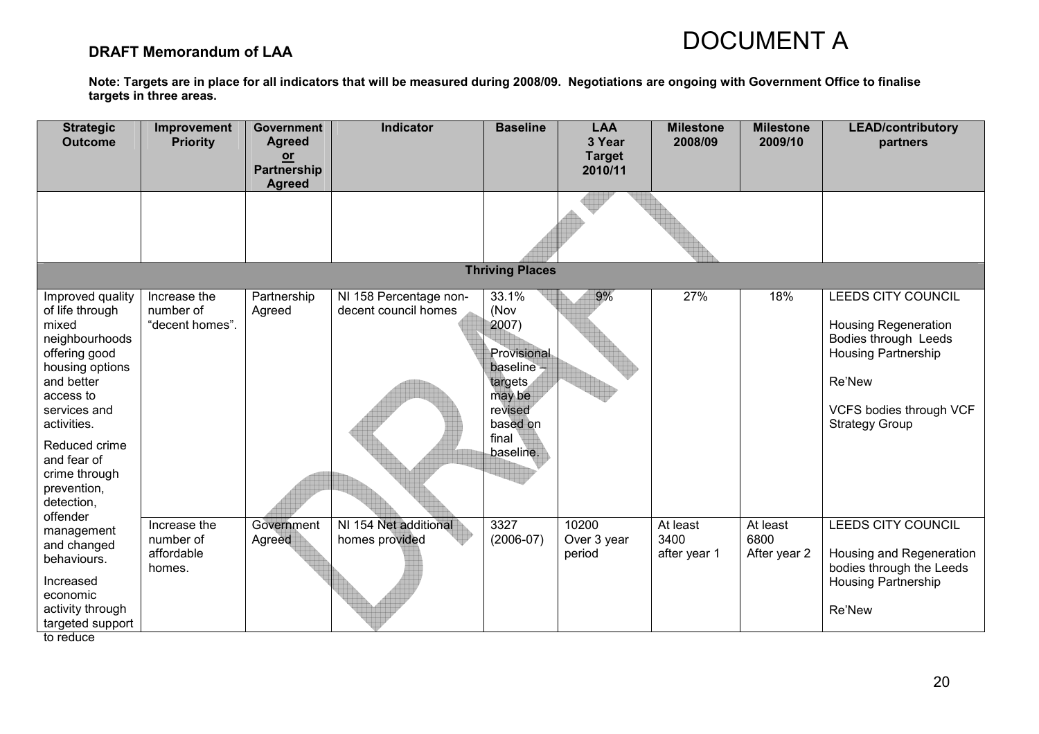### DRAFT Memorandum of LAA

| <b>Strategic</b><br><b>Outcome</b>                                                                                                                                                                                                                     | Improvement<br><b>Priority</b>                    | <b>Government</b><br><b>Agreed</b><br>or<br>Partnership<br><b>Agreed</b> | Indicator                                      | <b>Baseline</b>                                                                                                         | <b>LAA</b><br>3 Year<br><b>Target</b><br>2010/11 | <b>Milestone</b><br>2008/09      | <b>Milestone</b><br>2009/10      | <b>LEAD/contributory</b><br>partners                                                                                                                                  |
|--------------------------------------------------------------------------------------------------------------------------------------------------------------------------------------------------------------------------------------------------------|---------------------------------------------------|--------------------------------------------------------------------------|------------------------------------------------|-------------------------------------------------------------------------------------------------------------------------|--------------------------------------------------|----------------------------------|----------------------------------|-----------------------------------------------------------------------------------------------------------------------------------------------------------------------|
|                                                                                                                                                                                                                                                        |                                                   |                                                                          |                                                |                                                                                                                         |                                                  |                                  |                                  |                                                                                                                                                                       |
|                                                                                                                                                                                                                                                        |                                                   |                                                                          |                                                | <b>Thriving Places</b>                                                                                                  |                                                  |                                  |                                  |                                                                                                                                                                       |
| Improved quality<br>of life through<br>mixed<br>neighbourhoods<br>offering good<br>housing options<br>and better<br>access to<br>services and<br>activities.<br>Reduced crime<br>and fear of<br>crime through<br>prevention,<br>detection,<br>offender | Increase the<br>number of<br>"decent homes".      | Partnership<br>Agreed                                                    | NI 158 Percentage non-<br>decent council homes | 33.1%<br>(Nov<br>2007)<br>Provisional<br>baseline $-$<br>targets<br>may be<br>revised<br>based on<br>final<br>baseline. | 9%                                               | 27%                              | 18%                              | LEEDS CITY COUNCIL<br><b>Housing Regeneration</b><br>Bodies through Leeds<br><b>Housing Partnership</b><br>Re'New<br>VCFS bodies through VCF<br><b>Strategy Group</b> |
| management<br>and changed<br>behaviours.<br>Increased<br>economic<br>activity through<br>targeted support<br>to reduce                                                                                                                                 | Increase the<br>number of<br>affordable<br>homes. | Government<br>Agreed                                                     | NI 154 Net additional<br>homes provided        | 3327<br>$(2006-07)$                                                                                                     | 10200<br>Over 3 year<br>period                   | At least<br>3400<br>after year 1 | At least<br>6800<br>After year 2 | <b>LEEDS CITY COUNCIL</b><br>Housing and Regeneration<br>bodies through the Leeds<br><b>Housing Partnership</b><br>Re'New                                             |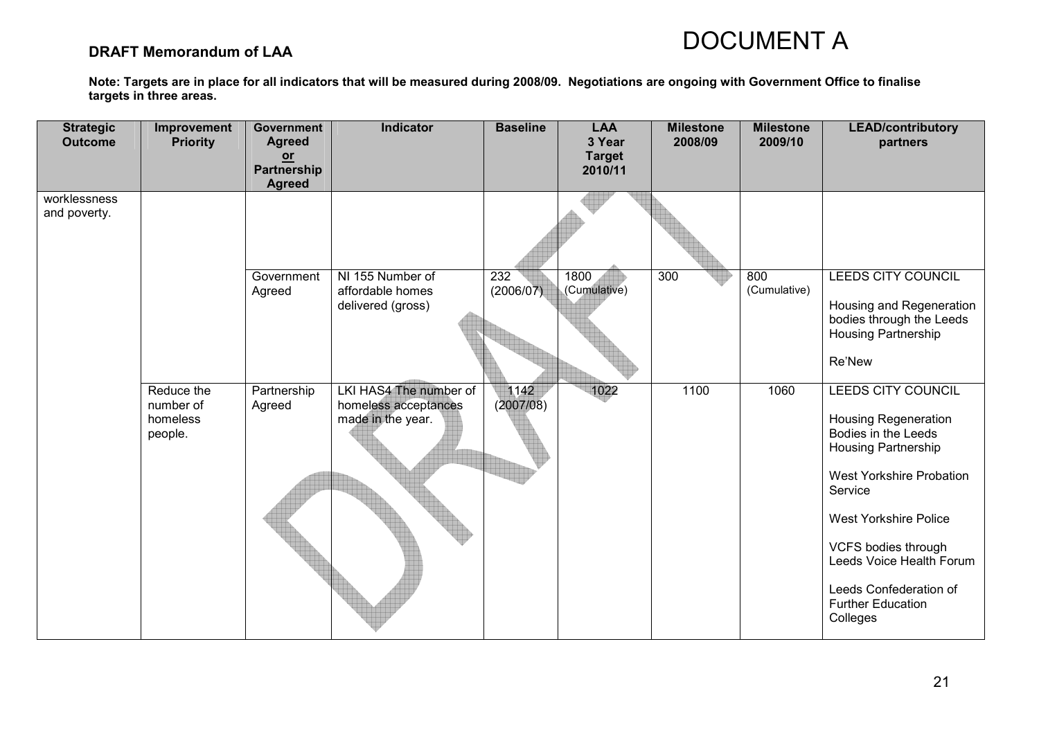### DRAFT Memorandum of LAA

| <b>Strategic</b><br><b>Outcome</b> | Improvement<br><b>Priority</b>                 | <b>Government</b><br><b>Agreed</b><br>or<br>Partnership<br><b>Agreed</b> | <b>Indicator</b>                                                    | <b>Baseline</b>               | <b>LAA</b><br>3 Year<br><b>Target</b><br>2010/11 | <b>Milestone</b><br>2008/09 | <b>Milestone</b><br>2009/10 | <b>LEAD/contributory</b><br>partners                                                                                                                                                                                                                                                               |
|------------------------------------|------------------------------------------------|--------------------------------------------------------------------------|---------------------------------------------------------------------|-------------------------------|--------------------------------------------------|-----------------------------|-----------------------------|----------------------------------------------------------------------------------------------------------------------------------------------------------------------------------------------------------------------------------------------------------------------------------------------------|
| worklessness<br>and poverty.       |                                                |                                                                          |                                                                     |                               |                                                  |                             |                             |                                                                                                                                                                                                                                                                                                    |
|                                    |                                                | Government<br>Agreed                                                     | NI 155 Number of<br>affordable homes<br>delivered (gross)           | $\overline{232}$<br>(2006/07) | 1800<br>(Cumulative)                             | 300                         | 800<br>(Cumulative)         | <b>LEEDS CITY COUNCIL</b><br>Housing and Regeneration<br>bodies through the Leeds<br>Housing Partnership<br>Re'New                                                                                                                                                                                 |
|                                    | Reduce the<br>number of<br>homeless<br>people. | Partnership<br>Agreed                                                    | LKI HAS4 The number of<br>homeless acceptances<br>made in the year. | 1142<br>(2007/08)             | 1022                                             | 1100                        | 1060                        | LEEDS CITY COUNCIL<br><b>Housing Regeneration</b><br>Bodies in the Leeds<br>Housing Partnership<br><b>West Yorkshire Probation</b><br>Service<br><b>West Yorkshire Police</b><br>VCFS bodies through<br>Leeds Voice Health Forum<br>Leeds Confederation of<br><b>Further Education</b><br>Colleges |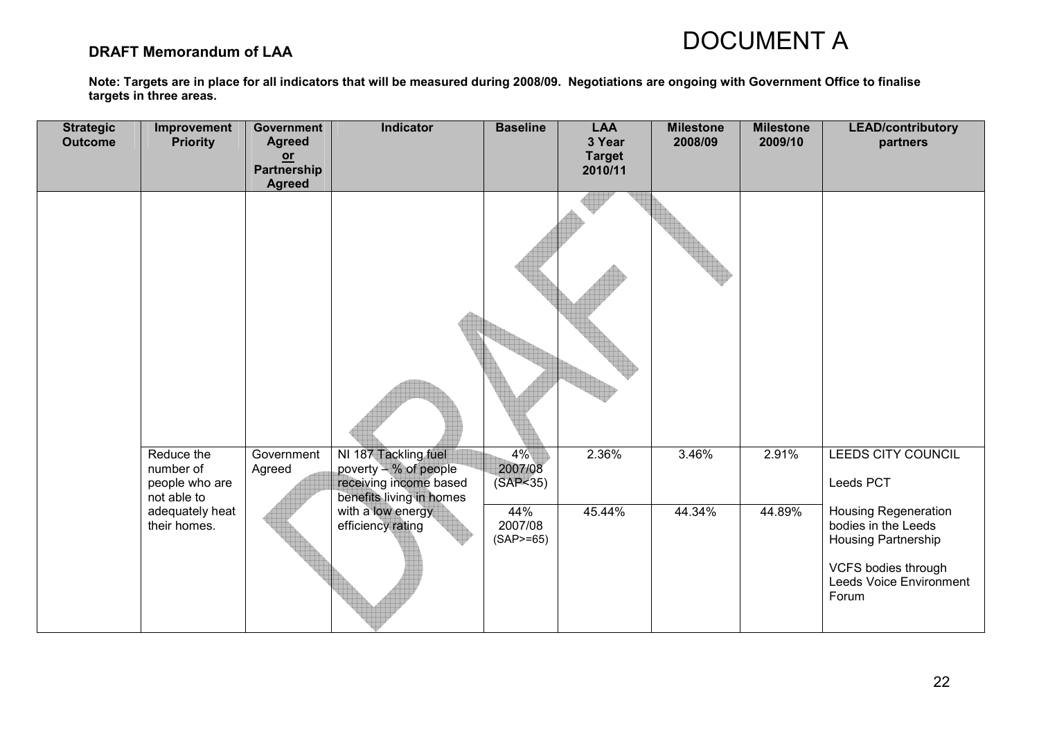### DRAFT Memorandum of LAA

| <b>Strategic</b><br><b>Outcome</b> | Improvement<br><b>Priority</b>                                                              | Government<br><b>Agreed</b><br>$or$<br>Partnership<br><b>Agreed</b> | Indicator                                                                                                                                     | <b>Baseline</b>                                                 | <b>LAA</b><br>3 Year<br><b>Target</b><br>2010/11 | <b>Milestone</b><br>2008/09 | <b>Milestone</b><br>2009/10 | <b>LEAD/contributory</b><br>partners                                                                                                                                                  |
|------------------------------------|---------------------------------------------------------------------------------------------|---------------------------------------------------------------------|-----------------------------------------------------------------------------------------------------------------------------------------------|-----------------------------------------------------------------|--------------------------------------------------|-----------------------------|-----------------------------|---------------------------------------------------------------------------------------------------------------------------------------------------------------------------------------|
|                                    |                                                                                             |                                                                     |                                                                                                                                               |                                                                 |                                                  |                             |                             |                                                                                                                                                                                       |
|                                    | Reduce the<br>number of<br>people who are<br>not able to<br>adequately heat<br>their homes. | Government<br>Agreed                                                | NI 187 Tackling fuel<br>poverty - % of people<br>receiving income based<br>benefits living in homes<br>with a low energy<br>efficiency rating | $4\%$<br>2007/08<br>(SAP < 35)<br>44%<br>2007/08<br>$(SAP>=65)$ | 2.36%<br>45.44%                                  | 3.46%<br>44.34%             | 2.91%<br>44.89%             | LEEDS CITY COUNCIL<br>Leeds PCT<br><b>Housing Regeneration</b><br>bodies in the Leeds<br><b>Housing Partnership</b><br>VCFS bodies through<br><b>Leeds Voice Environment</b><br>Forum |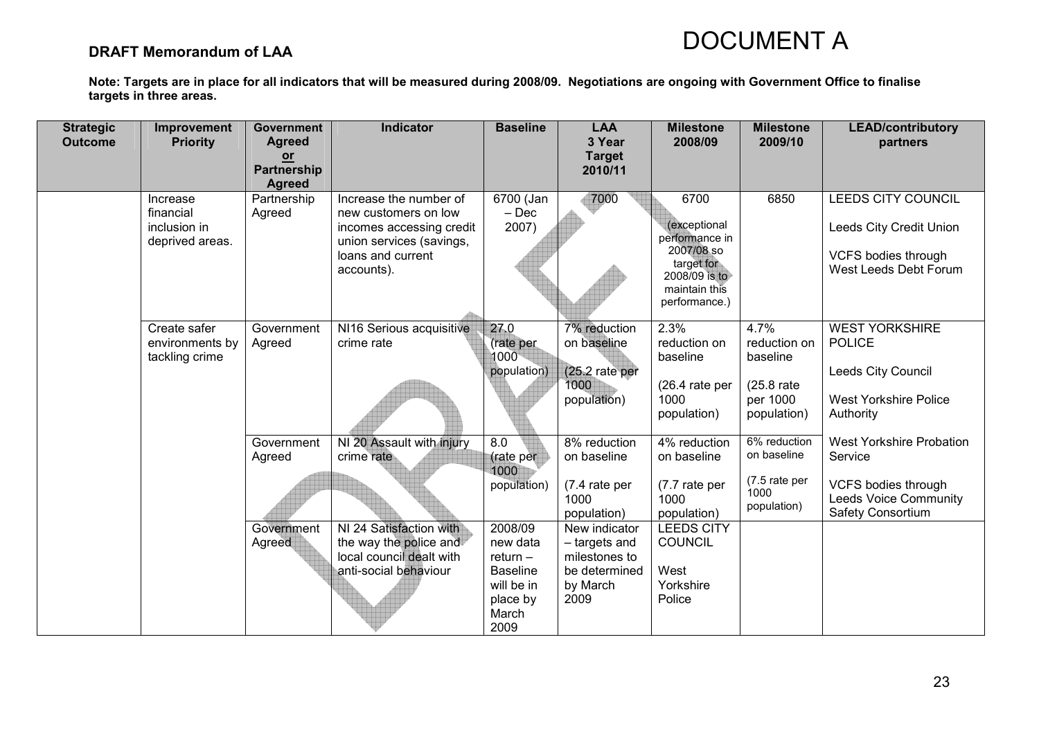### DRAFT Memorandum of LAA

| <b>Strategic</b><br><b>Outcome</b> | Improvement<br><b>Priority</b>                           | <b>Government</b><br><b>Agreed</b><br>$or$<br><b>Partnership</b><br><b>Agreed</b> | <b>Indicator</b>                                                                                                                          | <b>Baseline</b>                                                          | <b>LAA</b><br>3 Year<br><b>Target</b><br>2010/11                                                      | <b>Milestone</b><br>2008/09                                                                                           | <b>Milestone</b><br>2009/10                                                | <b>LEAD/contributory</b><br>partners                                                                                   |
|------------------------------------|----------------------------------------------------------|-----------------------------------------------------------------------------------|-------------------------------------------------------------------------------------------------------------------------------------------|--------------------------------------------------------------------------|-------------------------------------------------------------------------------------------------------|-----------------------------------------------------------------------------------------------------------------------|----------------------------------------------------------------------------|------------------------------------------------------------------------------------------------------------------------|
|                                    | Increase<br>financial<br>inclusion in<br>deprived areas. | Partnership<br>Agreed                                                             | Increase the number of<br>new customers on low<br>incomes accessing credit<br>union services (savings,<br>loans and current<br>accounts). | 6700 (Jan<br>$-$ Dec<br>2007)                                            | 7000                                                                                                  | 6700<br>(exceptional<br>performance in<br>2007/08 so<br>target for<br>2008/09 is to<br>maintain this<br>performance.) | 6850                                                                       | <b>LEEDS CITY COUNCIL</b><br>Leeds City Credit Union<br><b>VCFS bodies through</b><br>West Leeds Debt Forum            |
|                                    | Create safer<br>environments by<br>tackling crime        | Government<br>Agreed                                                              | NI16 Serious acquisitive<br>crime rate                                                                                                    | 27.0<br>(rate per<br>1000<br>population)                                 | 7% reduction<br>on baseline<br>$(25.2)$ rate per<br>1000<br>population)                               | 2.3%<br>reduction on<br>baseline<br>$(26.4)$ rate per<br>1000<br>population)                                          | 4.7%<br>reduction on<br>baseline<br>(25.8 rate)<br>per 1000<br>population) | <b>WEST YORKSHIRE</b><br><b>POLICE</b><br>Leeds City Council<br><b>West Yorkshire Police</b><br>Authority              |
|                                    |                                                          | Government<br>Agreed<br>Government<br>Agreed                                      | NI 20 Assault with injury<br>crime rate<br>NI 24 Satisfaction with<br>the way the police and                                              | 8.0<br>(rate per<br>1000<br>population)<br>2008/09<br>new data           | 8% reduction<br>on baseline<br>(7.4 rate per<br>1000<br>population)<br>New indicator<br>- targets and | 4% reduction<br>on baseline<br>(7.7 rate per<br>1000<br>population)<br><b>LEEDS CITY</b><br><b>COUNCIL</b>            | 6% reduction<br>on baseline<br>(7.5 rate per<br>1000<br>population)        | <b>West Yorkshire Probation</b><br>Service<br>VCFS bodies through<br><b>Leeds Voice Community</b><br>Safety Consortium |
|                                    |                                                          |                                                                                   | local council dealt with<br>anti-social behaviour                                                                                         | $return -$<br><b>Baseline</b><br>will be in<br>place by<br>March<br>2009 | milestones to<br>be determined<br>by March<br>2009                                                    | West<br>Yorkshire<br>Police                                                                                           |                                                                            |                                                                                                                        |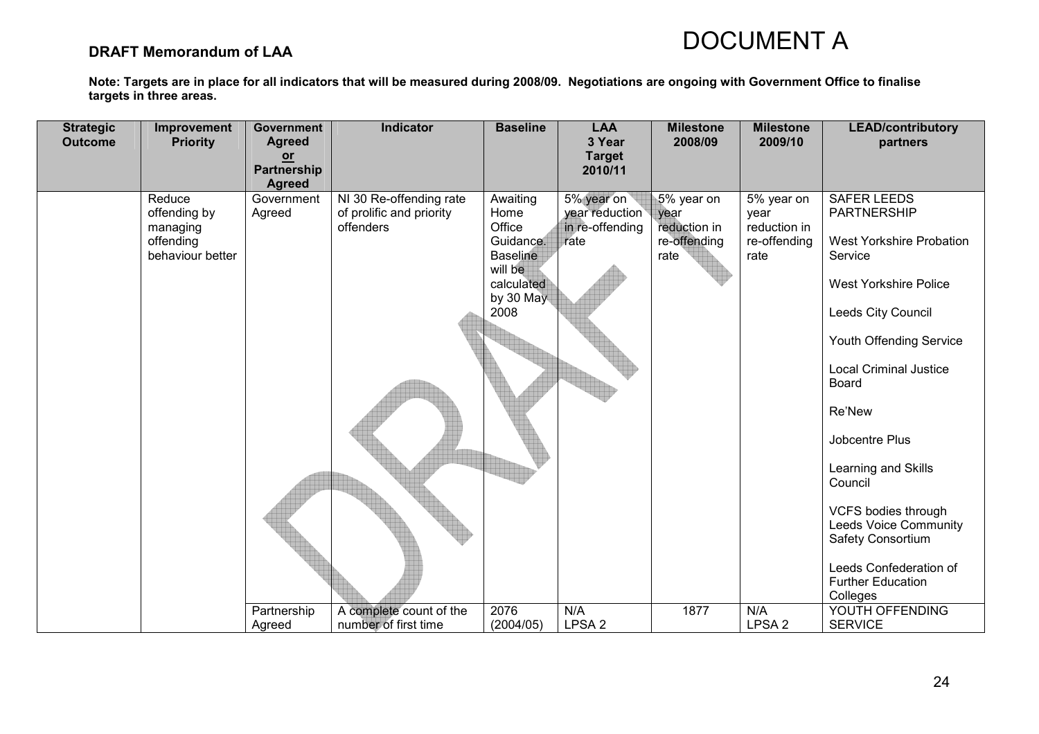### DRAFT Memorandum of LAA

| <b>Strategic</b><br><b>Outcome</b> | Improvement<br><b>Priority</b>                                      | <b>Government</b><br><b>Agreed</b> | <b>Indicator</b>                                                 | <b>Baseline</b>                                                                                          | <b>LAA</b><br>3 Year                                    | <b>Milestone</b><br>2008/09                                | <b>Milestone</b><br>2009/10                                | <b>LEAD/contributory</b><br>partners                                                                                                                                                                                                                                                                                                                                                                                          |
|------------------------------------|---------------------------------------------------------------------|------------------------------------|------------------------------------------------------------------|----------------------------------------------------------------------------------------------------------|---------------------------------------------------------|------------------------------------------------------------|------------------------------------------------------------|-------------------------------------------------------------------------------------------------------------------------------------------------------------------------------------------------------------------------------------------------------------------------------------------------------------------------------------------------------------------------------------------------------------------------------|
|                                    |                                                                     | $or$<br>Partnership                |                                                                  |                                                                                                          | <b>Target</b><br>2010/11                                |                                                            |                                                            |                                                                                                                                                                                                                                                                                                                                                                                                                               |
|                                    |                                                                     | <b>Agreed</b>                      |                                                                  |                                                                                                          |                                                         |                                                            |                                                            |                                                                                                                                                                                                                                                                                                                                                                                                                               |
|                                    | Reduce<br>offending by<br>managing<br>offending<br>behaviour better | Government<br>Agreed               | NI 30 Re-offending rate<br>of prolific and priority<br>offenders | Awaiting<br>Home<br>Office<br>Guidance.<br><b>Baseline</b><br>will be<br>calculated<br>by 30 May<br>2008 | 5% year on<br>year reduction<br>in re-offending<br>rate | 5% year on<br>year<br>reduction in<br>re-offending<br>rate | 5% year on<br>year<br>reduction in<br>re-offending<br>rate | <b>SAFER LEEDS</b><br>PARTNERSHIP<br><b>West Yorkshire Probation</b><br>Service<br><b>West Yorkshire Police</b><br>Leeds City Council<br>Youth Offending Service<br><b>Local Criminal Justice</b><br>Board<br>Re'New<br>Jobcentre Plus<br>Learning and Skills<br>Council<br><b>VCFS bodies through</b><br><b>Leeds Voice Community</b><br>Safety Consortium<br>Leeds Confederation of<br><b>Further Education</b><br>Colleges |
|                                    |                                                                     | Partnership                        | A complete count of the                                          | 2076                                                                                                     | N/A                                                     | 1877                                                       | N/A                                                        | YOUTH OFFENDING                                                                                                                                                                                                                                                                                                                                                                                                               |
|                                    |                                                                     | Agreed                             | number of first time                                             | (2004/05)                                                                                                | LPSA <sub>2</sub>                                       |                                                            | LPSA <sub>2</sub>                                          | <b>SERVICE</b>                                                                                                                                                                                                                                                                                                                                                                                                                |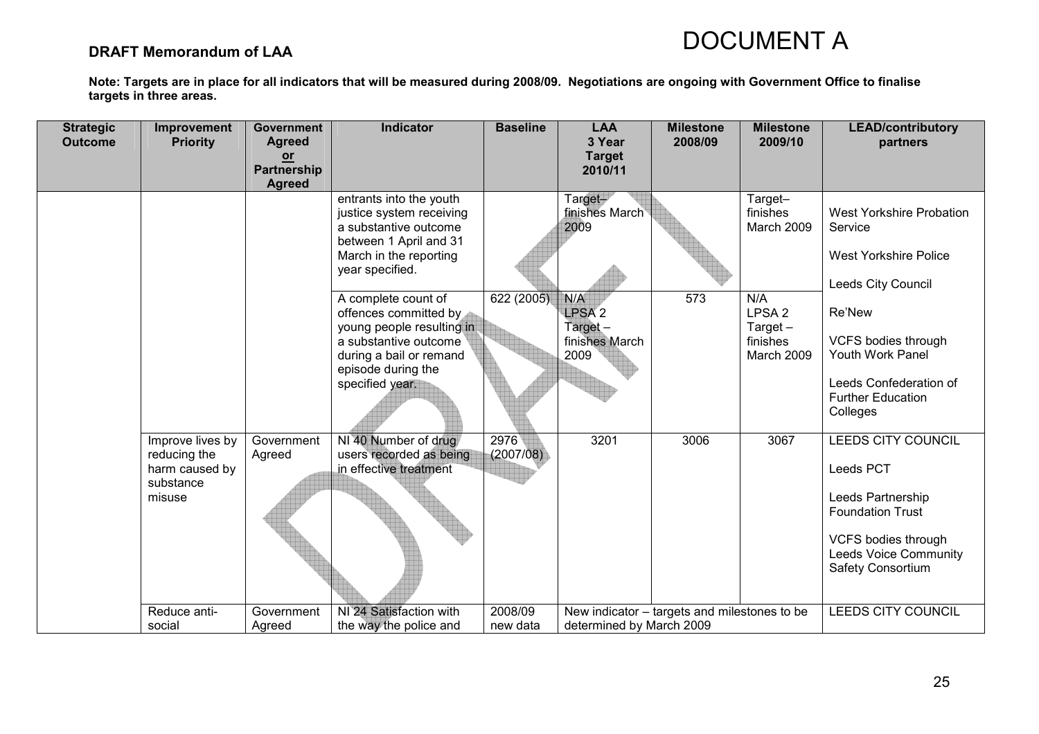### DRAFT Memorandum of LAA

| <b>Target</b><br>$or$<br><b>Partnership</b><br>2010/11<br><b>Agreed</b><br>entrants into the youth<br>Target-<br>Target-<br>finishes March<br>finishes<br>justice system receiving<br>West Yorkshire Probation<br>2009<br>a substantive outcome<br>March 2009<br>Service<br>between 1 April and 31<br>March in the reporting<br><b>West Yorkshire Police</b><br>year specified.<br>Leeds City Council<br>622 (2005)<br>A complete count of<br>N/A<br>573<br>N/A<br>LPSA <sub>2</sub><br>Re'New<br>LPSA <sub>2</sub><br>offences committed by<br>young people resulting in<br>Target-<br>Target $-$<br>finishes March<br>finishes<br>VCFS bodies through<br>a substantive outcome<br>Youth Work Panel<br>during a bail or remand<br>2009<br>March 2009<br>episode during the<br>Leeds Confederation of<br>specified year.<br><b>Further Education</b><br>Colleges<br>2976<br>3201<br>NI 40 Number of drug<br>3006<br>3067<br><b>LEEDS CITY COUNCIL</b><br>Improve lives by<br>Government |  |
|-----------------------------------------------------------------------------------------------------------------------------------------------------------------------------------------------------------------------------------------------------------------------------------------------------------------------------------------------------------------------------------------------------------------------------------------------------------------------------------------------------------------------------------------------------------------------------------------------------------------------------------------------------------------------------------------------------------------------------------------------------------------------------------------------------------------------------------------------------------------------------------------------------------------------------------------------------------------------------------------|--|
|                                                                                                                                                                                                                                                                                                                                                                                                                                                                                                                                                                                                                                                                                                                                                                                                                                                                                                                                                                                         |  |
|                                                                                                                                                                                                                                                                                                                                                                                                                                                                                                                                                                                                                                                                                                                                                                                                                                                                                                                                                                                         |  |
|                                                                                                                                                                                                                                                                                                                                                                                                                                                                                                                                                                                                                                                                                                                                                                                                                                                                                                                                                                                         |  |
| (2007/08)<br>users recorded as being<br>reducing the<br>Agreed<br>in effective treatment<br>harm caused by<br>Leeds PCT<br>substance<br>Leeds Partnership<br>misuse<br><b>Foundation Trust</b><br>VCFS bodies through<br><b>Leeds Voice Community</b><br>Safety Consortium                                                                                                                                                                                                                                                                                                                                                                                                                                                                                                                                                                                                                                                                                                              |  |
| NI 24 Satisfaction with<br>2008/09<br><b>LEEDS CITY COUNCIL</b><br>Reduce anti-<br>Government<br>New indicator - targets and milestones to be<br>social<br>the way the police and<br>new data<br>determined by March 2009<br>Agreed                                                                                                                                                                                                                                                                                                                                                                                                                                                                                                                                                                                                                                                                                                                                                     |  |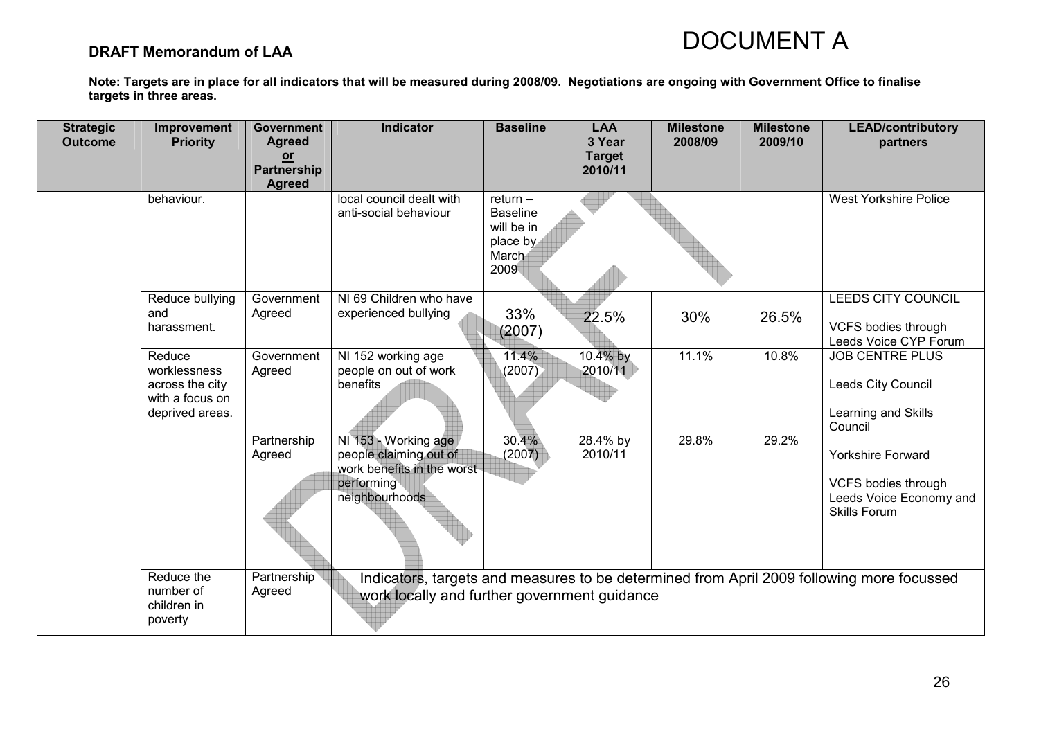### DRAFT Memorandum of LAA

| <b>Strategic</b><br><b>Outcome</b> | Improvement<br><b>Priority</b>                                                  | <b>Government</b><br><b>Agreed</b><br>$or$<br>Partnership<br><b>Agreed</b> | Indicator                                                                                                    | <b>Baseline</b>                                                          | <b>LAA</b><br>3 Year<br><b>Target</b><br>2010/11 | <b>Milestone</b><br>2008/09 | <b>Milestone</b><br>2009/10 | <b>LEAD/contributory</b><br>partners                                                              |
|------------------------------------|---------------------------------------------------------------------------------|----------------------------------------------------------------------------|--------------------------------------------------------------------------------------------------------------|--------------------------------------------------------------------------|--------------------------------------------------|-----------------------------|-----------------------------|---------------------------------------------------------------------------------------------------|
|                                    | behaviour.                                                                      |                                                                            | local council dealt with<br>anti-social behaviour                                                            | $return -$<br><b>Baseline</b><br>will be in<br>place by<br>March<br>2009 |                                                  |                             |                             | <b>West Yorkshire Police</b>                                                                      |
|                                    | Reduce bullying<br>and<br>harassment.                                           | Government<br>Agreed                                                       | NI 69 Children who have<br>experienced bullying                                                              | 33%<br>(2007)                                                            | 22.5%                                            | 30%                         | 26.5%                       | <b>LEEDS CITY COUNCIL</b><br>VCFS bodies through<br>Leeds Voice CYP Forum                         |
|                                    | Reduce<br>worklessness<br>across the city<br>with a focus on<br>deprived areas. | Government<br>Agreed                                                       | NI 152 working age<br>people on out of work<br>benefits                                                      | 11.4%<br>(2007)                                                          | 10.4% by<br>2010/11                              | 11.1%                       | 10.8%                       | <b>JOB CENTRE PLUS</b><br>Leeds City Council<br>Learning and Skills<br>Council                    |
|                                    |                                                                                 | Partnership<br>Agreed                                                      | NI 153 - Working age<br>people claiming out of<br>work benefits in the worst<br>performing<br>neighbourhoods | 30.4%<br>(2007)                                                          | 28.4% by<br>2010/11                              | 29.8%                       | 29.2%                       | <b>Yorkshire Forward</b><br>VCFS bodies through<br>Leeds Voice Economy and<br><b>Skills Forum</b> |
|                                    | Reduce the<br>number of<br>children in<br>poverty                               | Partnership<br>Agreed                                                      | work locally and further government guidance                                                                 |                                                                          |                                                  |                             |                             | Indicators, targets and measures to be determined from April 2009 following more focussed         |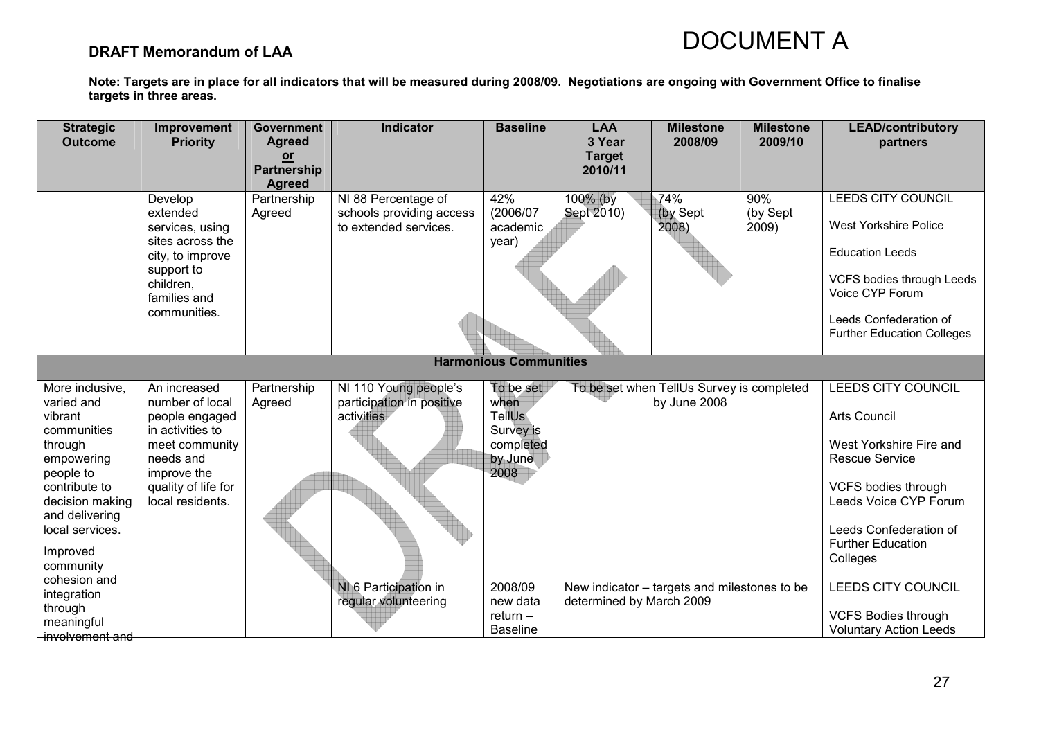### DRAFT Memorandum of LAA

| <b>Strategic</b><br><b>Outcome</b>                                                                                                                                     | Improvement<br><b>Priority</b>                                                                                                                                 | <b>Government</b><br><b>Agreed</b><br>$or$<br><b>Partnership</b><br><b>Agreed</b> | Indicator                                                                | <b>Baseline</b>                                                                 | <b>LAA</b><br>3 Year<br><b>Target</b><br>2010/11                         | <b>Milestone</b><br>2008/09                               | <b>Milestone</b><br>2009/10 | <b>LEAD/contributory</b><br>partners                                                                                                                                                                |
|------------------------------------------------------------------------------------------------------------------------------------------------------------------------|----------------------------------------------------------------------------------------------------------------------------------------------------------------|-----------------------------------------------------------------------------------|--------------------------------------------------------------------------|---------------------------------------------------------------------------------|--------------------------------------------------------------------------|-----------------------------------------------------------|-----------------------------|-----------------------------------------------------------------------------------------------------------------------------------------------------------------------------------------------------|
|                                                                                                                                                                        | Develop<br>extended<br>services, using<br>sites across the<br>city, to improve<br>support to<br>children,<br>families and<br>communities.                      | Partnership<br>Agreed                                                             | NI 88 Percentage of<br>schools providing access<br>to extended services. | 42%<br>(2006/07<br>academic<br>year)                                            | 100% (by<br>Sept 2010)                                                   | 74%<br>(by Sept<br>2008)                                  | 90%<br>(by Sept<br>2009)    | <b>LEEDS CITY COUNCIL</b><br><b>West Yorkshire Police</b><br><b>Education Leeds</b><br>VCFS bodies through Leeds<br>Voice CYP Forum<br>Leeds Confederation of<br><b>Further Education Colleges</b>  |
| <b>Harmonious Communities</b>                                                                                                                                          |                                                                                                                                                                |                                                                                   |                                                                          |                                                                                 |                                                                          |                                                           |                             |                                                                                                                                                                                                     |
| More inclusive,<br>varied and<br>vibrant<br>communities<br>through<br>empowering<br>people to<br>contribute to<br>decision making<br>and delivering<br>local services. | An increased<br>number of local<br>people engaged<br>in activities to<br>meet community<br>needs and<br>improve the<br>quality of life for<br>local residents. | Partnership<br>Agreed                                                             | NI 110 Young people's<br>participation in positive<br>activities         | To be set<br>when<br><b>TellUs</b><br>Survey is<br>completed<br>by June<br>2008 |                                                                          | To be set when TellUs Survey is completed<br>by June 2008 |                             | LEEDS CITY COUNCIL<br><b>Arts Council</b><br>West Yorkshire Fire and<br><b>Rescue Service</b><br>VCFS bodies through<br>Leeds Voice CYP Forum<br>Leeds Confederation of<br><b>Further Education</b> |
| Improved<br>community<br>cohesion and                                                                                                                                  |                                                                                                                                                                |                                                                                   |                                                                          |                                                                                 |                                                                          |                                                           |                             | Colleges                                                                                                                                                                                            |
| integration<br>through                                                                                                                                                 |                                                                                                                                                                |                                                                                   | NI 6 Participation in<br>regular volunteering                            | 2008/09<br>new data<br>$return -$                                               | New indicator - targets and milestones to be<br>determined by March 2009 |                                                           |                             | <b>LEEDS CITY COUNCIL</b><br><b>VCFS Bodies through</b>                                                                                                                                             |
| meaningful<br>involvement and                                                                                                                                          |                                                                                                                                                                |                                                                                   |                                                                          | <b>Baseline</b>                                                                 |                                                                          |                                                           |                             | <b>Voluntary Action Leeds</b>                                                                                                                                                                       |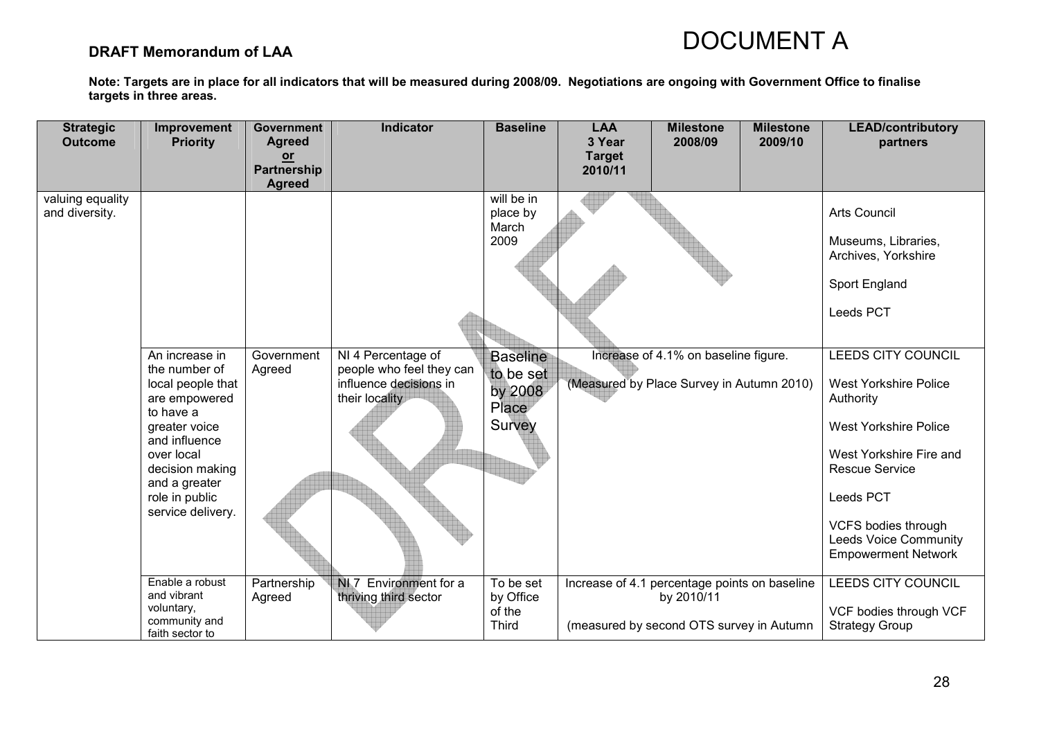### DRAFT Memorandum of LAA

| <b>Strategic</b><br><b>Outcome</b> | Improvement<br><b>Priority</b>                                                                                                                                                                                | <b>Government</b><br><b>Agreed</b><br>$or$ | <b>Indicator</b>                                                                           | <b>Baseline</b>                                            | <b>LAA</b><br>3 Year<br><b>Target</b> | <b>Milestone</b><br>2008/09                                                                             | <b>Milestone</b><br>2009/10 | <b>LEAD/contributory</b><br>partners                                                                                                                                                                                                                                |
|------------------------------------|---------------------------------------------------------------------------------------------------------------------------------------------------------------------------------------------------------------|--------------------------------------------|--------------------------------------------------------------------------------------------|------------------------------------------------------------|---------------------------------------|---------------------------------------------------------------------------------------------------------|-----------------------------|---------------------------------------------------------------------------------------------------------------------------------------------------------------------------------------------------------------------------------------------------------------------|
|                                    |                                                                                                                                                                                                               | <b>Partnership</b><br><b>Agreed</b>        |                                                                                            |                                                            | 2010/11                               |                                                                                                         |                             |                                                                                                                                                                                                                                                                     |
| valuing equality<br>and diversity. |                                                                                                                                                                                                               |                                            |                                                                                            | will be in<br>place by<br>March<br>2009                    |                                       |                                                                                                         |                             | <b>Arts Council</b><br>Museums, Libraries,<br>Archives, Yorkshire<br>Sport England                                                                                                                                                                                  |
|                                    |                                                                                                                                                                                                               |                                            |                                                                                            |                                                            |                                       |                                                                                                         |                             | Leeds PCT                                                                                                                                                                                                                                                           |
|                                    | An increase in<br>the number of<br>local people that<br>are empowered<br>to have a<br>greater voice<br>and influence<br>over local<br>decision making<br>and a greater<br>role in public<br>service delivery. | Government<br>Agreed                       | NI 4 Percentage of<br>people who feel they can<br>influence decisions in<br>their locality | <b>Baseline</b><br>to be set<br>by 2008<br>Place<br>Survey |                                       | Increase of 4.1% on baseline figure.<br>(Measured by Place Survey in Autumn 2010)                       |                             | <b>LEEDS CITY COUNCIL</b><br><b>West Yorkshire Police</b><br>Authority<br><b>West Yorkshire Police</b><br>West Yorkshire Fire and<br><b>Rescue Service</b><br>Leeds PCT<br><b>VCFS bodies through</b><br><b>Leeds Voice Community</b><br><b>Empowerment Network</b> |
|                                    | Enable a robust<br>and vibrant<br>voluntary,<br>community and<br>faith sector to                                                                                                                              | Partnership<br>Agreed                      | NI 7 Environment for a<br>thriving third sector                                            | To be set<br>by Office<br>of the<br><b>Third</b>           |                                       | Increase of 4.1 percentage points on baseline<br>by 2010/11<br>(measured by second OTS survey in Autumn |                             | <b>LEEDS CITY COUNCIL</b><br>VCF bodies through VCF<br><b>Strategy Group</b>                                                                                                                                                                                        |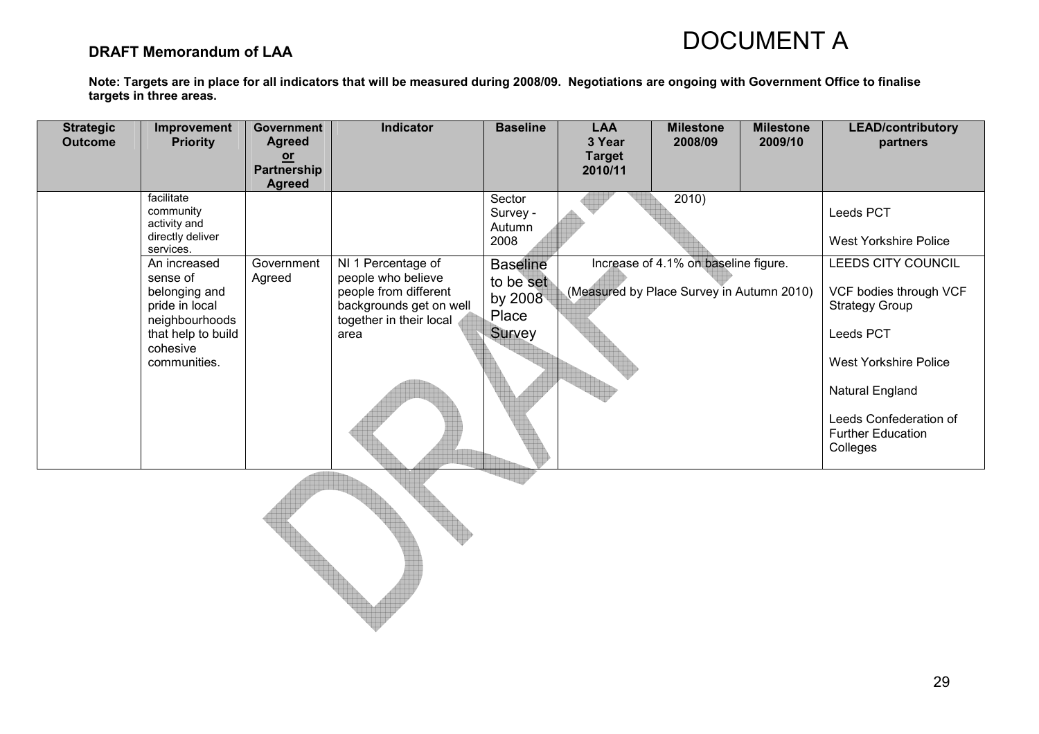### DRAFT Memorandum of LAA

| <b>Strategic</b><br><b>Outcome</b> | Improvement<br><b>Priority</b>                                                                                                                                                                              | <b>Government</b><br><b>Agreed</b><br>$or$<br>Partnership | Indicator                                                                                                                       | <b>Baseline</b>                                                                                    | <b>LAA</b><br>3 Year<br><b>Target</b><br>2010/11 | <b>Milestone</b><br>2008/09                                                                | <b>Milestone</b><br>2009/10 | <b>LEAD/contributory</b><br>partners                                                                                                                                                                                                                        |
|------------------------------------|-------------------------------------------------------------------------------------------------------------------------------------------------------------------------------------------------------------|-----------------------------------------------------------|---------------------------------------------------------------------------------------------------------------------------------|----------------------------------------------------------------------------------------------------|--------------------------------------------------|--------------------------------------------------------------------------------------------|-----------------------------|-------------------------------------------------------------------------------------------------------------------------------------------------------------------------------------------------------------------------------------------------------------|
|                                    | facilitate<br>community<br>activity and<br>directly deliver<br>services.<br>An increased<br>sense of<br>belonging and<br>pride in local<br>neighbourhoods<br>that help to build<br>cohesive<br>communities. | <b>Agreed</b><br>Government<br>Agreed                     | NI 1 Percentage of<br>people who believe<br>people from different<br>backgrounds get on well<br>together in their local<br>area | Sector<br>Survey -<br>Autumn<br>2008<br><b>Baseline</b><br>to be set<br>by 2008<br>Place<br>Survey |                                                  | 2010)<br>Increase of 4.1% on baseline figure.<br>(Measured by Place Survey in Autumn 2010) |                             | Leeds PCT<br><b>West Yorkshire Police</b><br>LEEDS CITY COUNCIL<br>VCF bodies through VCF<br><b>Strategy Group</b><br>Leeds PCT<br><b>West Yorkshire Police</b><br><b>Natural England</b><br>Leeds Confederation of<br><b>Further Education</b><br>Colleges |
|                                    |                                                                                                                                                                                                             |                                                           |                                                                                                                                 |                                                                                                    |                                                  |                                                                                            |                             |                                                                                                                                                                                                                                                             |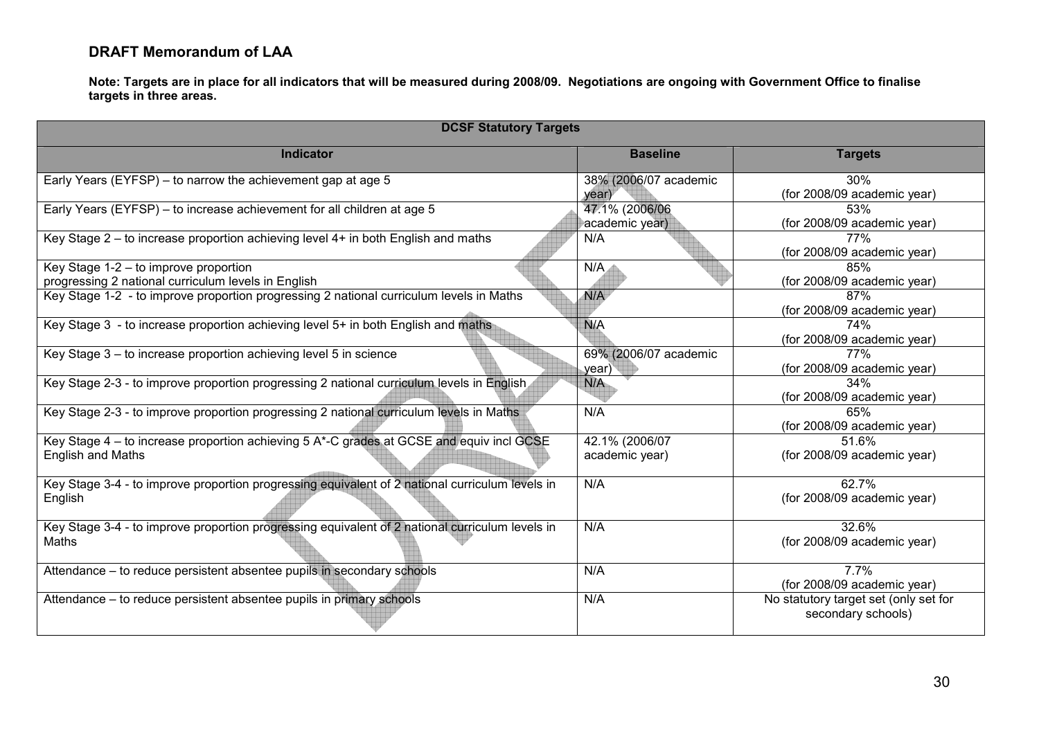### DRAFT Memorandum of LAA

| <b>DCSF Statutory Targets</b>                                                                                        |                                  |                                                             |  |  |  |  |  |  |  |
|----------------------------------------------------------------------------------------------------------------------|----------------------------------|-------------------------------------------------------------|--|--|--|--|--|--|--|
| <b>Indicator</b>                                                                                                     | <b>Baseline</b>                  | <b>Targets</b>                                              |  |  |  |  |  |  |  |
| Early Years (EYFSP) – to narrow the achievement gap at age 5                                                         | 38% (2006/07 academic<br>year)   | 30%<br>(for 2008/09 academic year)                          |  |  |  |  |  |  |  |
| Early Years (EYFSP) - to increase achievement for all children at age 5                                              | 47.1% (2006/06<br>academic year) | 53%<br>(for 2008/09 academic year)                          |  |  |  |  |  |  |  |
| Key Stage 2 – to increase proportion achieving level 4+ in both English and maths                                    | N/A                              | 77%<br>(for 2008/09 academic year)                          |  |  |  |  |  |  |  |
| Key Stage 1-2 - to improve proportion<br>progressing 2 national curriculum levels in English                         | N/A                              | 85%<br>(for 2008/09 academic year)                          |  |  |  |  |  |  |  |
| Key Stage 1-2 - to improve proportion progressing 2 national curriculum levels in Maths                              | N/A                              | 87%<br>(for 2008/09 academic year)                          |  |  |  |  |  |  |  |
| Key Stage 3 - to increase proportion achieving level 5+ in both English and maths                                    | <b>N/A</b>                       | 74%<br>(for 2008/09 academic year)                          |  |  |  |  |  |  |  |
| Key Stage 3 - to increase proportion achieving level 5 in science                                                    | 69% (2006/07 academic<br>year)   | 77%<br>(for 2008/09 academic year)                          |  |  |  |  |  |  |  |
| Key Stage 2-3 - to improve proportion progressing 2 national curriculum levels in English                            | N/A                              | 34%<br>(for 2008/09 academic year)                          |  |  |  |  |  |  |  |
| Key Stage 2-3 - to improve proportion progressing 2 national curriculum levels in Maths                              | N/A                              | 65%<br>(for 2008/09 academic year)                          |  |  |  |  |  |  |  |
| Key Stage 4 - to increase proportion achieving 5 A*-C grades at GCSE and equiv incl GCSE<br><b>English and Maths</b> | 42.1% (2006/07<br>academic year) | 51.6%<br>(for 2008/09 academic year)                        |  |  |  |  |  |  |  |
| Key Stage 3-4 - to improve proportion progressing equivalent of 2 national curriculum levels in<br>English           | N/A                              | 62.7%<br>(for 2008/09 academic year)                        |  |  |  |  |  |  |  |
| Key Stage 3-4 - to improve proportion progressing equivalent of 2 national curriculum levels in<br>Maths             | N/A                              | 32.6%<br>(for 2008/09 academic year)                        |  |  |  |  |  |  |  |
| Attendance – to reduce persistent absentee pupils in secondary schools                                               | N/A                              | 7.7%<br>(for 2008/09 academic year)                         |  |  |  |  |  |  |  |
| Attendance – to reduce persistent absentee pupils in primary schools                                                 | N/A                              | No statutory target set (only set for<br>secondary schools) |  |  |  |  |  |  |  |